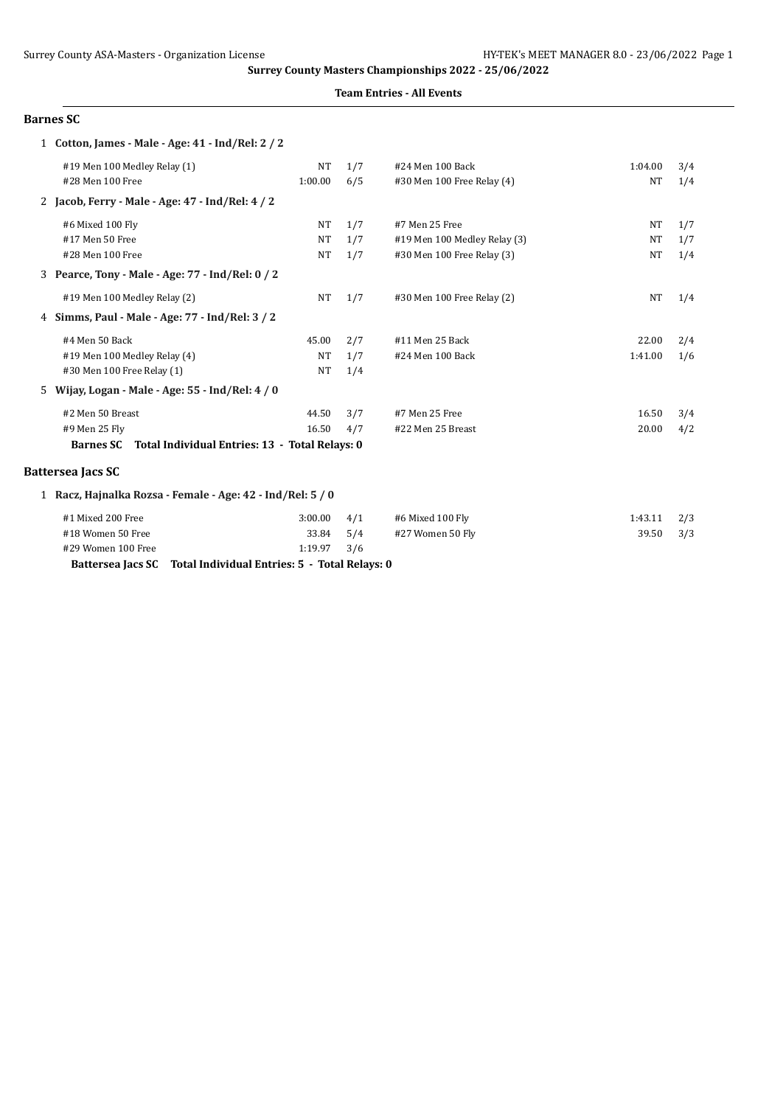### **Team Entries - All Events**

#### **Barnes SC**

|    | 1 Cotton, James - Male - Age: 41 - Ind/Rel: 2 / 2                  |           |     |                              |           |     |
|----|--------------------------------------------------------------------|-----------|-----|------------------------------|-----------|-----|
|    | #19 Men 100 Medley Relay (1)                                       | <b>NT</b> | 1/7 | #24 Men 100 Back             | 1:04.00   | 3/4 |
|    | #28 Men 100 Free                                                   | 1:00.00   | 6/5 | #30 Men 100 Free Relay (4)   | <b>NT</b> | 1/4 |
|    | 2 Jacob, Ferry - Male - Age: 47 - Ind/Rel: 4 / 2                   |           |     |                              |           |     |
|    | #6 Mixed 100 Fly                                                   | <b>NT</b> | 1/7 | #7 Men 25 Free               | NT        | 1/7 |
|    | #17 Men 50 Free                                                    | <b>NT</b> | 1/7 | #19 Men 100 Medley Relay (3) | <b>NT</b> | 1/7 |
|    | #28 Men 100 Free                                                   | <b>NT</b> | 1/7 | #30 Men 100 Free Relay (3)   | <b>NT</b> | 1/4 |
|    | 3 Pearce, Tony - Male - Age: 77 - Ind/Rel: 0 / 2                   |           |     |                              |           |     |
|    | #19 Men 100 Medley Relay (2)                                       | NT        | 1/7 | #30 Men 100 Free Relay (2)   | <b>NT</b> | 1/4 |
|    | 4 Simms, Paul - Male - Age: 77 - Ind/Rel: 3/2                      |           |     |                              |           |     |
|    | #4 Men 50 Back                                                     | 45.00     | 2/7 | #11 Men 25 Back              | 22.00     | 2/4 |
|    | #19 Men 100 Medley Relay (4)                                       | <b>NT</b> | 1/7 | #24 Men 100 Back             | 1:41.00   | 1/6 |
|    | #30 Men 100 Free Relay (1)                                         | NT        | 1/4 |                              |           |     |
| 5. | Wijay, Logan - Male - Age: 55 - Ind/Rel: 4 / 0                     |           |     |                              |           |     |
|    | #2 Men 50 Breast                                                   | 44.50     | 3/7 | #7 Men 25 Free               | 16.50     | 3/4 |
|    | #9 Men 25 Fly                                                      | 16.50     | 4/7 | #22 Men 25 Breast            | 20.00     | 4/2 |
|    | <b>Barnes SC</b><br>Total Individual Entries: 13 - Total Relays: 0 |           |     |                              |           |     |
|    | <b>Battersea Jacs SC</b>                                           |           |     |                              |           |     |
|    | 1 Racz, Hajnalka Rozsa - Female - Age: 42 - Ind/Rel: 5 / 0         |           |     |                              |           |     |
|    | #1 Mixed 200 Free                                                  | 3:00.00   | 4/1 | #6 Mixed 100 Fly             | 1:43.11   | 2/3 |
|    | #18 Women 50 Free                                                  | 33.84     | 5/4 | #27 Women 50 Fly             | 39.50     | 3/3 |
|    | #29 Women 100 Free                                                 | 1:19.97   | 3/6 |                              |           |     |
|    |                                                                    |           |     |                              |           |     |

**Battersea Jacs SC Total Individual Entries: 5 - Total Relays: 0**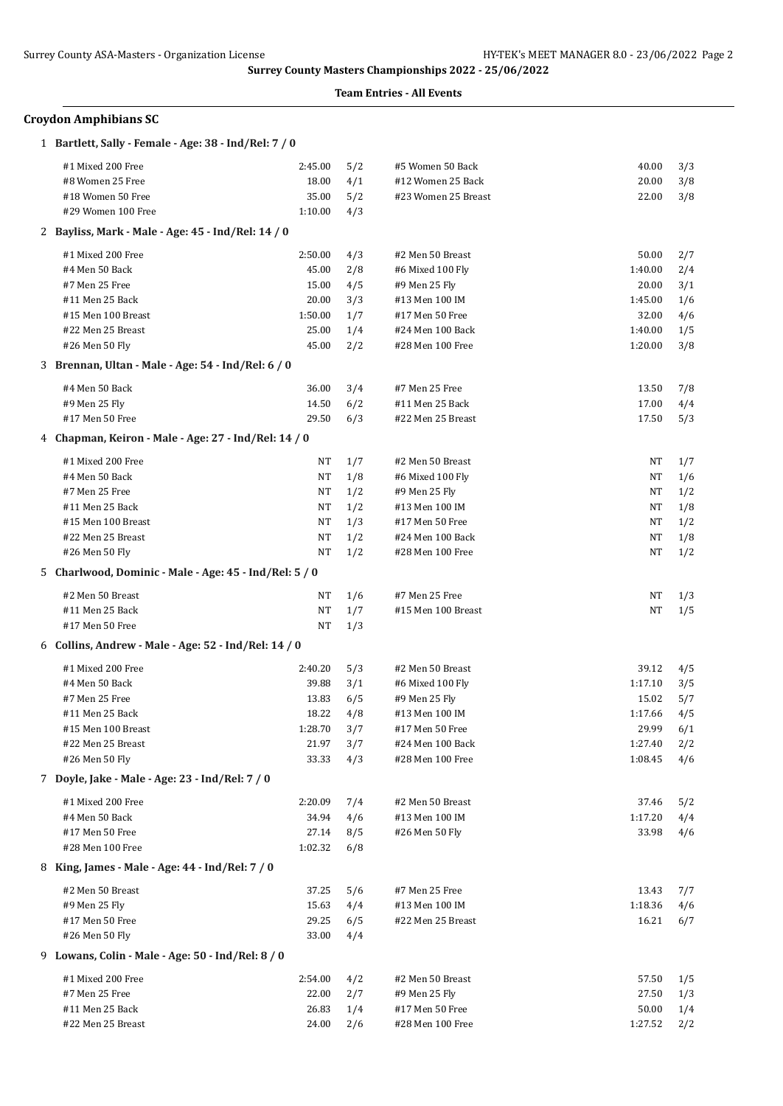### **Team Entries - All Events**

## **Croydon Amphibians SC**

| 1 Bartlett, Sally - Female - Age: 38 - Ind/Rel: 7 / 0                   |          |     |                     |         |     |
|-------------------------------------------------------------------------|----------|-----|---------------------|---------|-----|
| #1 Mixed 200 Free                                                       | 2:45.00  | 5/2 | #5 Women 50 Back    | 40.00   | 3/3 |
| #8 Women 25 Free                                                        | 18.00    | 4/1 | #12 Women 25 Back   | 20.00   | 3/8 |
| #18 Women 50 Free                                                       | 35.00    | 5/2 | #23 Women 25 Breast | 22.00   | 3/8 |
| #29 Women 100 Free                                                      | 1:10.00  | 4/3 |                     |         |     |
| 2 Bayliss, Mark - Male - Age: 45 - Ind/Rel: 14 / 0                      |          |     |                     |         |     |
| #1 Mixed 200 Free                                                       | 2:50.00  | 4/3 | #2 Men 50 Breast    | 50.00   | 2/7 |
| #4 Men 50 Back                                                          | 45.00    | 2/8 | #6 Mixed 100 Fly    | 1:40.00 | 2/4 |
| #7 Men 25 Free                                                          | 15.00    | 4/5 | #9 Men 25 Fly       | 20.00   | 3/1 |
| #11 Men 25 Back                                                         | 20.00    | 3/3 | #13 Men 100 IM      | 1:45.00 | 1/6 |
| #15 Men 100 Breast                                                      | 1:50.00  | 1/7 | #17 Men 50 Free     | 32.00   | 4/6 |
| #22 Men 25 Breast                                                       | 25.00    | 1/4 | #24 Men 100 Back    | 1:40.00 | 1/5 |
| #26 Men 50 Fly                                                          | 45.00    | 2/2 | #28 Men 100 Free    | 1:20.00 | 3/8 |
| 3 Brennan, Ultan - Male - Age: 54 - Ind/Rel: 6 / 0                      |          |     |                     |         |     |
| #4 Men 50 Back                                                          | 36.00    | 3/4 | #7 Men 25 Free      | 13.50   | 7/8 |
| #9 Men 25 Fly                                                           | 14.50    | 6/2 | #11 Men 25 Back     | 17.00   | 4/4 |
| #17 Men 50 Free                                                         | 29.50    | 6/3 | #22 Men 25 Breast   | 17.50   | 5/3 |
| 4 Chapman, Keiron - Male - Age: 27 - Ind/Rel: 14 / 0                    |          |     |                     |         |     |
| #1 Mixed 200 Free                                                       | NT       | 1/7 | #2 Men 50 Breast    | NT      | 1/7 |
| #4 Men 50 Back                                                          | NT       | 1/8 | #6 Mixed 100 Fly    | NT      | 1/6 |
| #7 Men 25 Free                                                          | NT       | 1/2 | #9 Men 25 Fly       | NT      | 1/2 |
| #11 Men 25 Back                                                         | NT       | 1/2 | #13 Men 100 IM      | NT      | 1/8 |
| #15 Men 100 Breast                                                      | NT       | 1/3 | #17 Men 50 Free     | NT      | 1/2 |
| #22 Men 25 Breast                                                       | NT       | 1/2 | #24 Men 100 Back    | NT      | 1/8 |
| #26 Men 50 Fly                                                          | NT       | 1/2 | #28 Men 100 Free    | NT      | 1/2 |
| 5 Charlwood, Dominic - Male - Age: 45 - Ind/Rel: 5 / 0                  |          |     |                     |         |     |
|                                                                         |          |     |                     |         |     |
| #2 Men 50 Breast                                                        | NT       | 1/6 | #7 Men 25 Free      | NT      | 1/3 |
| #11 Men 25 Back                                                         | NT<br>NT | 1/7 | #15 Men 100 Breast  | NT      | 1/5 |
| #17 Men 50 Free<br>6 Collins, Andrew - Male - Age: 52 - Ind/Rel: 14 / 0 |          | 1/3 |                     |         |     |
|                                                                         |          |     |                     |         |     |
| #1 Mixed 200 Free                                                       | 2:40.20  | 5/3 | #2 Men 50 Breast    | 39.12   | 4/5 |
| #4 Men 50 Back                                                          | 39.88    | 3/1 | #6 Mixed 100 Fly    | 1:17.10 | 3/5 |
| #7 Men 25 Free                                                          | 13.83    | 6/5 | #9 Men 25 Fly       | 15.02   | 5/7 |
| #11 Men 25 Back                                                         | 18.22    | 4/8 | #13 Men 100 IM      | 1:17.66 | 4/5 |
| #15 Men 100 Breast                                                      | 1:28.70  | 3/7 | #17 Men 50 Free     | 29.99   | 6/1 |
| #22 Men 25 Breast                                                       | 21.97    | 3/7 | #24 Men 100 Back    | 1:27.40 | 2/2 |
| #26 Men 50 Fly                                                          | 33.33    | 4/3 | #28 Men 100 Free    | 1:08.45 | 4/6 |
| 7 Doyle, Jake - Male - Age: 23 - Ind/Rel: 7 / 0                         |          |     |                     |         |     |
| #1 Mixed 200 Free                                                       | 2:20.09  | 7/4 | #2 Men 50 Breast    | 37.46   | 5/2 |
| #4 Men 50 Back                                                          | 34.94    | 4/6 | #13 Men 100 IM      | 1:17.20 | 4/4 |
| #17 Men 50 Free                                                         | 27.14    | 8/5 | #26 Men 50 Fly      | 33.98   | 4/6 |
| #28 Men 100 Free<br>8 King, James - Male - Age: 44 - Ind/Rel: 7 / 0     | 1:02.32  | 6/8 |                     |         |     |
|                                                                         |          |     |                     |         |     |
| #2 Men 50 Breast                                                        | 37.25    | 5/6 | #7 Men 25 Free      | 13.43   | 7/7 |
| #9 Men 25 Fly                                                           | 15.63    | 4/4 | #13 Men 100 IM      | 1:18.36 | 4/6 |
| #17 Men 50 Free                                                         | 29.25    | 6/5 | #22 Men 25 Breast   | 16.21   | 6/7 |
| #26 Men 50 Fly                                                          | 33.00    | 4/4 |                     |         |     |
| 9 Lowans, Colin - Male - Age: 50 - Ind/Rel: 8 / 0                       |          |     |                     |         |     |
| #1 Mixed 200 Free                                                       | 2:54.00  | 4/2 | #2 Men 50 Breast    | 57.50   | 1/5 |
| #7 Men 25 Free                                                          | 22.00    | 2/7 | #9 Men 25 Fly       | 27.50   | 1/3 |
| #11 Men 25 Back                                                         | 26.83    | 1/4 | #17 Men 50 Free     | 50.00   | 1/4 |
| #22 Men 25 Breast                                                       | 24.00    | 2/6 | #28 Men 100 Free    | 1:27.52 | 2/2 |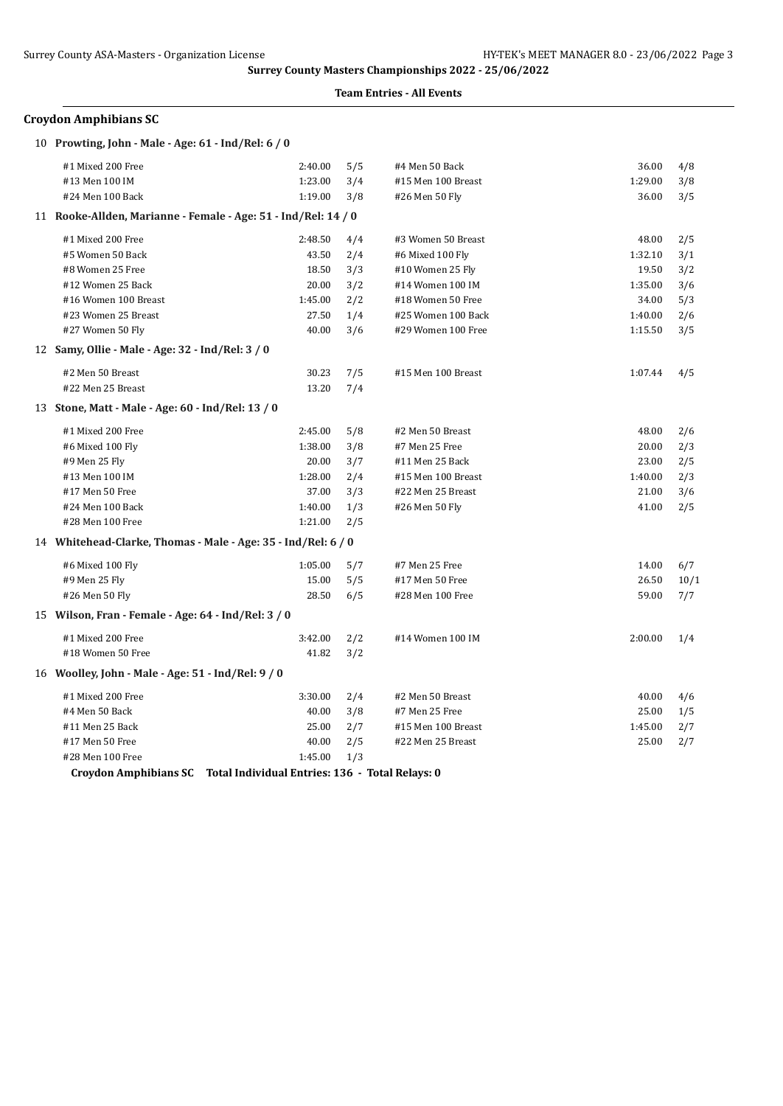#### **Team Entries - All Events**

## **Croydon Amphibians SC**

| 10 Prowting, John - Male - Age: 61 - Ind/Rel: 6 / 0            |         |     |                    |         |      |
|----------------------------------------------------------------|---------|-----|--------------------|---------|------|
| #1 Mixed 200 Free                                              | 2:40.00 | 5/5 | #4 Men 50 Back     | 36.00   | 4/8  |
| #13 Men 100 IM                                                 | 1:23.00 | 3/4 | #15 Men 100 Breast | 1:29.00 | 3/8  |
| #24 Men 100 Back                                               | 1:19.00 | 3/8 | #26 Men 50 Fly     | 36.00   | 3/5  |
| 11 Rooke-Allden, Marianne - Female - Age: 51 - Ind/Rel: 14 / 0 |         |     |                    |         |      |
| #1 Mixed 200 Free                                              | 2:48.50 | 4/4 | #3 Women 50 Breast | 48.00   | 2/5  |
| #5 Women 50 Back                                               | 43.50   | 2/4 | #6 Mixed 100 Fly   | 1:32.10 | 3/1  |
| #8 Women 25 Free                                               | 18.50   | 3/3 | #10 Women 25 Fly   | 19.50   | 3/2  |
| #12 Women 25 Back                                              | 20.00   | 3/2 | #14 Women 100 IM   | 1:35.00 | 3/6  |
| #16 Women 100 Breast                                           | 1:45.00 | 2/2 | #18 Women 50 Free  | 34.00   | 5/3  |
| #23 Women 25 Breast                                            | 27.50   | 1/4 | #25 Women 100 Back | 1:40.00 | 2/6  |
| #27 Women 50 Fly                                               | 40.00   | 3/6 | #29 Women 100 Free | 1:15.50 | 3/5  |
| 12 Samy, Ollie - Male - Age: 32 - Ind/Rel: 3 / 0               |         |     |                    |         |      |
| #2 Men 50 Breast                                               | 30.23   | 7/5 | #15 Men 100 Breast | 1:07.44 | 4/5  |
| #22 Men 25 Breast                                              | 13.20   | 7/4 |                    |         |      |
| 13 Stone, Matt - Male - Age: 60 - Ind/Rel: 13 / 0              |         |     |                    |         |      |
| #1 Mixed 200 Free                                              | 2:45.00 | 5/8 | #2 Men 50 Breast   | 48.00   | 2/6  |
| #6 Mixed 100 Fly                                               | 1:38.00 | 3/8 | #7 Men 25 Free     | 20.00   | 2/3  |
| #9 Men 25 Fly                                                  | 20.00   | 3/7 | #11 Men 25 Back    | 23.00   | 2/5  |
| #13 Men 100 IM                                                 | 1:28.00 | 2/4 | #15 Men 100 Breast | 1:40.00 | 2/3  |
| #17 Men 50 Free                                                | 37.00   | 3/3 | #22 Men 25 Breast  | 21.00   | 3/6  |
| #24 Men 100 Back                                               | 1:40.00 | 1/3 | #26 Men 50 Fly     | 41.00   | 2/5  |
| #28 Men 100 Free                                               | 1:21.00 | 2/5 |                    |         |      |
| 14 Whitehead-Clarke, Thomas - Male - Age: 35 - Ind/Rel: 6 / 0  |         |     |                    |         |      |
| #6 Mixed 100 Fly                                               | 1:05.00 | 5/7 | #7 Men 25 Free     | 14.00   | 6/7  |
| #9 Men 25 Fly                                                  | 15.00   | 5/5 | #17 Men 50 Free    | 26.50   | 10/1 |
| #26 Men 50 Fly                                                 | 28.50   | 6/5 | #28 Men 100 Free   | 59.00   | 7/7  |
| 15 Wilson, Fran - Female - Age: 64 - Ind/Rel: 3 / 0            |         |     |                    |         |      |
| #1 Mixed 200 Free                                              | 3:42.00 | 2/2 | #14 Women 100 IM   | 2:00.00 | 1/4  |
| #18 Women 50 Free                                              | 41.82   | 3/2 |                    |         |      |
| 16 Woolley, John - Male - Age: 51 - Ind/Rel: 9 / 0             |         |     |                    |         |      |
| #1 Mixed 200 Free                                              | 3:30.00 | 2/4 | #2 Men 50 Breast   | 40.00   | 4/6  |
| #4 Men 50 Back                                                 | 40.00   | 3/8 | #7 Men 25 Free     | 25.00   | 1/5  |
| #11 Men 25 Back                                                | 25.00   | 2/7 | #15 Men 100 Breast | 1:45.00 | 2/7  |
| #17 Men 50 Free                                                | 40.00   | 2/5 | #22 Men 25 Breast  | 25.00   | 2/7  |
| #28 Men 100 Free                                               | 1:45.00 | 1/3 |                    |         |      |

**Croydon Amphibians SC Total Individual Entries: 136 - Total Relays: 0**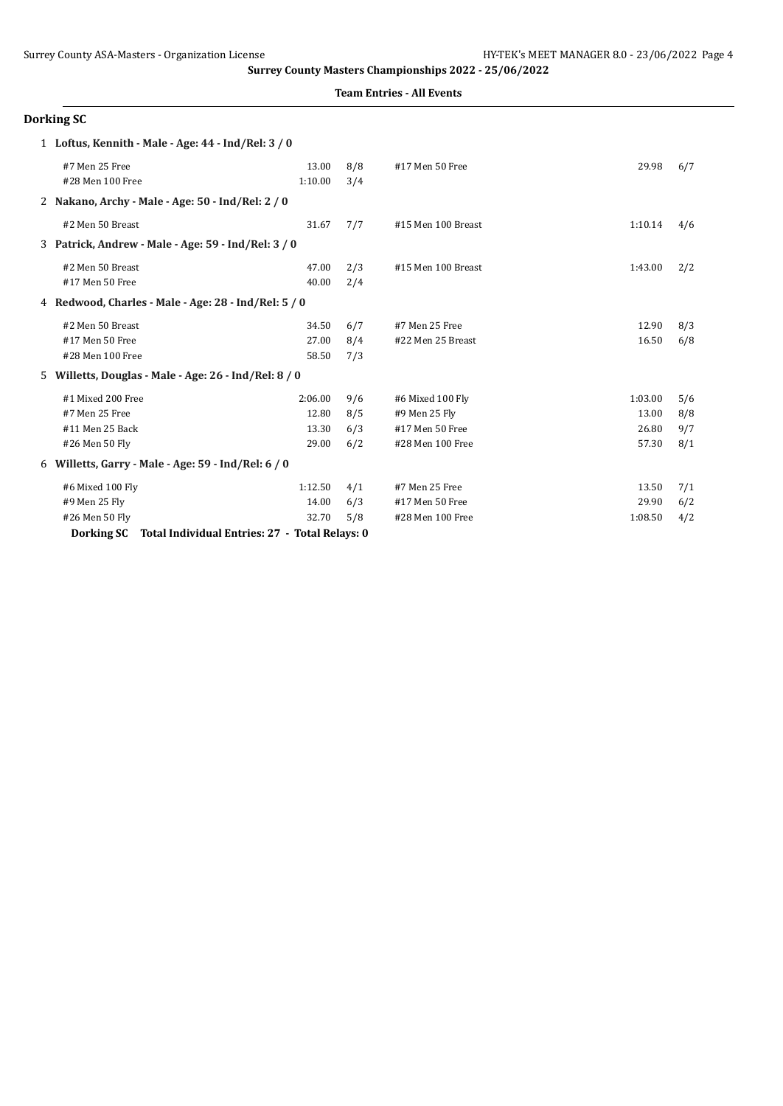**Team Entries - All Events**

|   | Dorking SC                                           |         |     |                    |         |     |
|---|------------------------------------------------------|---------|-----|--------------------|---------|-----|
|   | 1 Loftus, Kennith - Male - Age: 44 - Ind/Rel: 3 / 0  |         |     |                    |         |     |
|   | #7 Men 25 Free                                       | 13.00   | 8/8 | #17 Men 50 Free    | 29.98   | 6/7 |
|   | #28 Men 100 Free                                     | 1:10.00 | 3/4 |                    |         |     |
|   | 2 Nakano, Archy - Male - Age: 50 - Ind/Rel: 2 / 0    |         |     |                    |         |     |
|   | #2 Men 50 Breast                                     | 31.67   | 7/7 | #15 Men 100 Breast | 1:10.14 | 4/6 |
| 3 | Patrick, Andrew - Male - Age: 59 - Ind/Rel: 3 / 0    |         |     |                    |         |     |
|   | #2 Men 50 Breast                                     | 47.00   | 2/3 | #15 Men 100 Breast | 1:43.00 | 2/2 |
|   | #17 Men 50 Free                                      | 40.00   | 2/4 |                    |         |     |
|   | 4 Redwood, Charles - Male - Age: 28 - Ind/Rel: 5 / 0 |         |     |                    |         |     |
|   | #2 Men 50 Breast                                     | 34.50   | 6/7 | #7 Men 25 Free     | 12.90   | 8/3 |
|   | #17 Men 50 Free                                      | 27.00   | 8/4 | #22 Men 25 Breast  | 16.50   | 6/8 |
|   | #28 Men 100 Free                                     | 58.50   | 7/3 |                    |         |     |
| 5 | Willetts, Douglas - Male - Age: 26 - Ind/Rel: 8 / 0  |         |     |                    |         |     |
|   | #1 Mixed 200 Free                                    | 2:06.00 | 9/6 | #6 Mixed 100 Fly   | 1:03.00 | 5/6 |
|   | #7 Men 25 Free                                       | 12.80   | 8/5 | #9 Men 25 Fly      | 13.00   | 8/8 |
|   | #11 Men 25 Back                                      | 13.30   | 6/3 | #17 Men 50 Free    | 26.80   | 9/7 |
|   | #26 Men 50 Fly                                       | 29.00   | 6/2 | #28 Men 100 Free   | 57.30   | 8/1 |
| 6 | Willetts, Garry - Male - Age: 59 - Ind/Rel: 6 / 0    |         |     |                    |         |     |
|   | #6 Mixed 100 Fly                                     | 1:12.50 | 4/1 | #7 Men 25 Free     | 13.50   | 7/1 |
|   | #9 Men 25 Fly                                        | 14.00   | 6/3 | #17 Men 50 Free    | 29.90   | 6/2 |
|   | #26 Men 50 Fly                                       | 32.70   | 5/8 | #28 Men 100 Free   | 1:08.50 | 4/2 |

**Dorking SC Total Individual Entries: 27 - Total Relays: 0**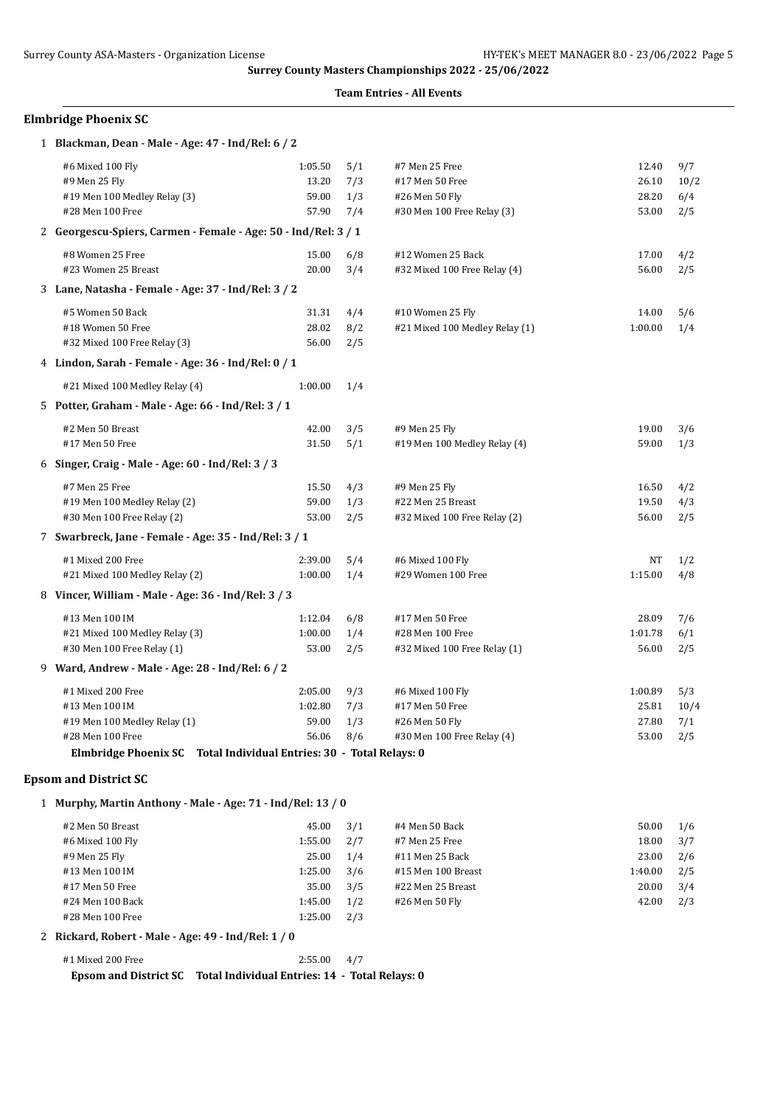#### **Team Entries - All Events**

### **Elmbridge Phoenix SC**

| 1 Blackman, Dean - Male - Age: 47 - Ind/Rel: 6 / 2                  |         |     |                                |         |      |
|---------------------------------------------------------------------|---------|-----|--------------------------------|---------|------|
| #6 Mixed 100 Fly                                                    | 1:05.50 | 5/1 | #7 Men 25 Free                 | 12.40   | 9/7  |
| #9 Men 25 Fly                                                       | 13.20   | 7/3 | #17 Men 50 Free                | 26.10   | 10/2 |
| #19 Men 100 Medley Relay (3)                                        | 59.00   | 1/3 | #26 Men 50 Fly                 | 28.20   | 6/4  |
| #28 Men 100 Free                                                    | 57.90   | 7/4 | #30 Men 100 Free Relay (3)     | 53.00   | 2/5  |
| 2 Georgescu-Spiers, Carmen - Female - Age: 50 - Ind/Rel: 3 / 1      |         |     |                                |         |      |
| #8 Women 25 Free                                                    | 15.00   | 6/8 | #12 Women 25 Back              | 17.00   | 4/2  |
| #23 Women 25 Breast                                                 | 20.00   | 3/4 | #32 Mixed 100 Free Relay (4)   | 56.00   | 2/5  |
| 3 Lane, Natasha - Female - Age: 37 - Ind/Rel: 3/2                   |         |     |                                |         |      |
| #5 Women 50 Back                                                    | 31.31   | 4/4 | #10 Women 25 Fly               | 14.00   | 5/6  |
| #18 Women 50 Free                                                   | 28.02   | 8/2 | #21 Mixed 100 Medley Relay (1) | 1:00.00 | 1/4  |
| #32 Mixed 100 Free Relay (3)                                        | 56.00   | 2/5 |                                |         |      |
| 4 Lindon, Sarah - Female - Age: 36 - Ind/Rel: 0 / 1                 |         |     |                                |         |      |
| #21 Mixed 100 Medley Relay (4)                                      | 1:00.00 | 1/4 |                                |         |      |
| 5 Potter, Graham - Male - Age: 66 - Ind/Rel: 3 / 1                  |         |     |                                |         |      |
| #2 Men 50 Breast                                                    | 42.00   | 3/5 | #9 Men 25 Fly                  | 19.00   | 3/6  |
| #17 Men 50 Free                                                     | 31.50   | 5/1 | #19 Men 100 Medley Relay (4)   | 59.00   | 1/3  |
| 6 Singer, Craig - Male - Age: 60 - Ind/Rel: 3 / 3                   |         |     |                                |         |      |
| #7 Men 25 Free                                                      | 15.50   | 4/3 | #9 Men 25 Fly                  | 16.50   | 4/2  |
| #19 Men 100 Medley Relay (2)                                        | 59.00   | 1/3 | #22 Men 25 Breast              | 19.50   | 4/3  |
| #30 Men 100 Free Relay (2)                                          | 53.00   | 2/5 | #32 Mixed 100 Free Relay (2)   | 56.00   | 2/5  |
| 7 Swarbreck, Jane - Female - Age: 35 - Ind/Rel: 3 / 1               |         |     |                                |         |      |
| #1 Mixed 200 Free                                                   | 2:39.00 | 5/4 | #6 Mixed 100 Fly               | NΤ      | 1/2  |
| #21 Mixed 100 Medley Relay (2)                                      | 1:00.00 | 1/4 | #29 Women 100 Free             | 1:15.00 | 4/8  |
| 8 Vincer, William - Male - Age: 36 - Ind/Rel: 3 / 3                 |         |     |                                |         |      |
| #13 Men 100 IM                                                      | 1:12.04 | 6/8 | #17 Men 50 Free                | 28.09   | 7/6  |
| #21 Mixed 100 Medley Relay (3)                                      | 1:00.00 | 1/4 | #28 Men 100 Free               | 1:01.78 | 6/1  |
| #30 Men 100 Free Relay (1)                                          | 53.00   | 2/5 | #32 Mixed 100 Free Relay (1)   | 56.00   | 2/5  |
| 9 Ward, Andrew - Male - Age: 28 - Ind/Rel: 6 / 2                    |         |     |                                |         |      |
| #1 Mixed 200 Free                                                   | 2:05.00 | 9/3 | #6 Mixed 100 Fly               | 1:00.89 | 5/3  |
| #13 Men 100 IM                                                      | 1:02.80 | 7/3 | #17 Men 50 Free                | 25.81   | 10/4 |
| #19 Men 100 Medley Relay (1)                                        | 59.00   | 1/3 | #26 Men 50 Fly                 | 27.80   | 7/1  |
| #28 Men 100 Free                                                    | 56.06   | 8/6 | #30 Men 100 Free Relay (4)     | 53.00   | 2/5  |
| Elmbridge Phoenix SC Total Individual Entries: 30 - Total Relays: 0 |         |     |                                |         |      |

## **Epsom and District SC**

1 **Murphy, Martin Anthony - Male - Age: 71 - Ind/Rel: 13 / 0**

| #2 Men 50 Breast | 45.00   | 3/1 | #4 Men 50 Back     | 50.00   | 1/6 |
|------------------|---------|-----|--------------------|---------|-----|
| #6 Mixed 100 Fly | 1:55.00 | 2/7 | #7 Men 25 Free     | 18.00   | 3/7 |
| #9 Men 25 Fly    | 25.00   | 1/4 | #11 Men 25 Back    | 23.00   | 2/6 |
| #13 Men 100 IM   | 1:25.00 | 3/6 | #15 Men 100 Breast | 1:40.00 | 2/5 |
| #17 Men 50 Free  | 35.00   | 3/5 | #22 Men 25 Breast  | 20.00   | 3/4 |
| #24 Men 100 Back | 1:45.00 | 1/2 | #26 Men 50 Flv     | 42.00   | 2/3 |
| #28 Men 100 Free | 1:25.00 | 2/3 |                    |         |     |

#### 2 **Rickard, Robert - Male - Age: 49 - Ind/Rel: 1 / 0**

| #1 Mixed 200 Free            | $2:55.00$ 4/7                                  |  |
|------------------------------|------------------------------------------------|--|
| <b>Epsom and District SC</b> | Total Individual Entries: 14 - Total Relays: 0 |  |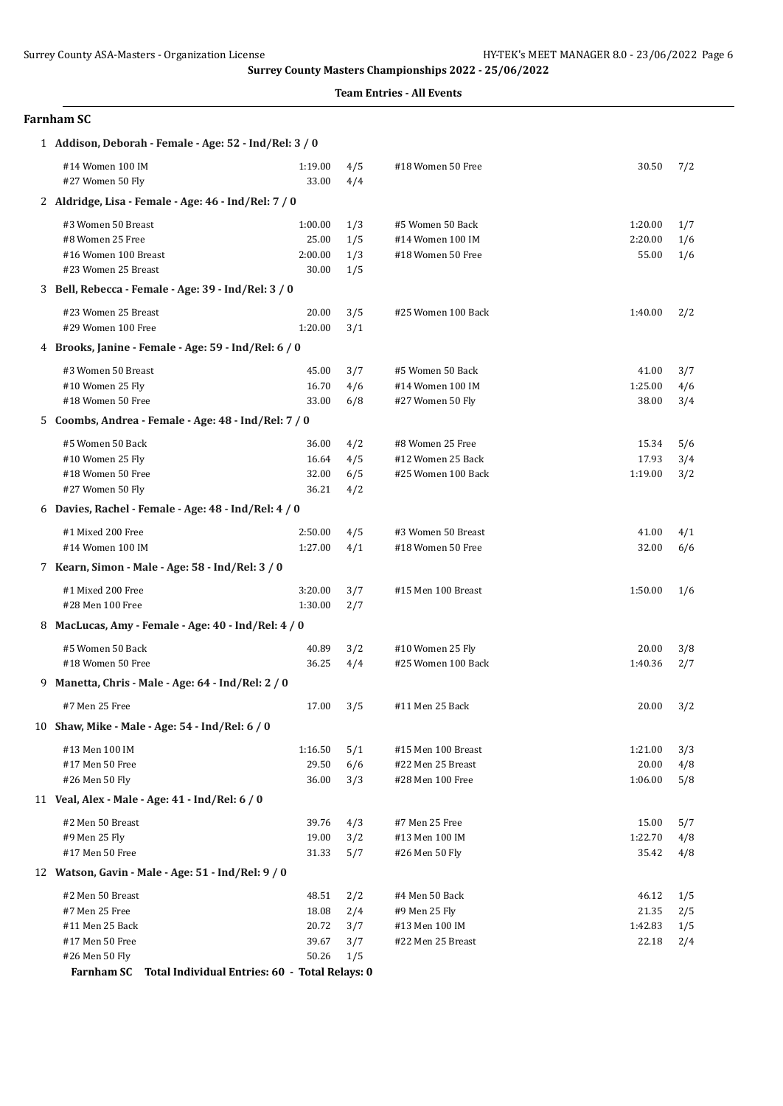| Farnham SC |  |
|------------|--|
|------------|--|

| #14 Women 100 IM<br>4/5<br>#18 Women 50 Free<br>30.50<br>7/2<br>1:19.00<br>#27 Women 50 Fly<br>33.00<br>4/4<br>2 Aldridge, Lisa - Female - Age: 46 - Ind/Rel: 7 / 0<br>#3 Women 50 Breast<br>1:00.00<br>#5 Women 50 Back<br>1/3<br>1:20.00<br>1/7<br>#8 Women 25 Free<br>25.00<br>1/5<br>#14 Women 100 IM<br>2:20.00<br>1/6<br>1/3<br>#18 Women 50 Free<br>#16 Women 100 Breast<br>2:00.00<br>55.00<br>1/6<br>#23 Women 25 Breast<br>30.00<br>1/5<br>3 Bell, Rebecca - Female - Age: 39 - Ind/Rel: 3 / 0<br>#23 Women 25 Breast<br>20.00<br>3/5<br>#25 Women 100 Back<br>1:40.00<br>2/2<br>#29 Women 100 Free<br>1:20.00<br>3/1<br>4 Brooks, Janine - Female - Age: 59 - Ind/Rel: 6 / 0<br>#3 Women 50 Breast<br>45.00<br>3/7<br>#5 Women 50 Back<br>41.00<br>3/7<br>#10 Women 25 Fly<br>16.70<br>4/6<br>#14 Women 100 IM<br>1:25.00<br>4/6<br>#18 Women 50 Free<br>33.00<br>6/8<br>#27 Women 50 Fly<br>38.00<br>3/4<br>5 Coombs, Andrea - Female - Age: 48 - Ind/Rel: 7 / 0<br>#5 Women 50 Back<br>36.00<br>4/2<br>#8 Women 25 Free<br>15.34<br>5/6<br>16.64<br>#10 Women 25 Fly<br>4/5<br>#12 Women 25 Back<br>17.93<br>3/4<br>#18 Women 50 Free<br>32.00<br>6/5<br>#25 Women 100 Back<br>1:19.00<br>3/2<br>36.21<br>#27 Women 50 Fly<br>4/2<br>6 Davies, Rachel - Female - Age: 48 - Ind/Rel: 4 / 0<br>#1 Mixed 200 Free<br>2:50.00<br>4/5<br>#3 Women 50 Breast<br>41.00<br>4/1<br>#14 Women 100 IM<br>1:27.00<br>4/1<br>#18 Women 50 Free<br>32.00<br>6/6<br>7 Kearn, Simon - Male - Age: 58 - Ind/Rel: 3 / 0<br>#1 Mixed 200 Free<br>3:20.00<br>3/7<br>#15 Men 100 Breast<br>1:50.00<br>1/6<br>#28 Men 100 Free<br>1:30.00<br>2/7<br>8 MacLucas, Amy - Female - Age: 40 - Ind/Rel: 4 / 0<br>#5 Women 50 Back<br>40.89<br>3/2<br>#10 Women 25 Fly<br>20.00<br>3/8<br>36.25<br>1:40.36<br>#18 Women 50 Free<br>4/4<br>#25 Women 100 Back<br>2/7<br>9 Manetta, Chris - Male - Age: 64 - Ind/Rel: 2 / 0<br>#7 Men 25 Free<br>17.00<br>3/5<br>#11 Men 25 Back<br>20.00<br>3/2<br>10 Shaw, Mike - Male - Age: 54 - Ind/Rel: 6 / 0<br>#13 Men 100 IM<br>1:16.50<br>5/1<br>#15 Men 100 Breast<br>1:21.00<br>3/3<br>6/6<br>#17 Men 50 Free<br>29.50<br>#22 Men 25 Breast<br>20.00<br>4/8<br>#26 Men 50 Fly<br>36.00<br>3/3<br>#28 Men 100 Free<br>1:06.00<br>5/8<br>11 Veal, Alex - Male - Age: 41 - Ind/Rel: 6 / 0<br>#2 Men 50 Breast<br>39.76<br>4/3<br>#7 Men 25 Free<br>15.00<br>5/7<br>#9 Men 25 Fly<br>19.00<br>3/2<br>#13 Men 100 IM<br>1:22.70<br>4/8<br>#17 Men 50 Free<br>31.33<br>5/7<br>#26 Men 50 Fly<br>35.42<br>4/8<br>12 Watson, Gavin - Male - Age: 51 - Ind/Rel: 9 / 0<br>#2 Men 50 Breast<br>48.51<br>2/2<br>#4 Men 50 Back<br>46.12<br>1/5<br>2/4<br>#7 Men 25 Free<br>18.08<br>#9 Men 25 Fly<br>21.35<br>2/5<br>#11 Men 25 Back<br>20.72<br>3/7<br>#13 Men 100 IM<br>1:42.83<br>1/5<br>#17 Men 50 Free<br>39.67<br>3/7<br>#22 Men 25 Breast<br>22.18<br>2/4<br>50.26<br>1/5<br>#26 Men 50 Fly<br>Total Individual Entries: 60 - Total Relays: 0<br><b>Farnham SC</b> | 1 Addison, Deborah - Female - Age: 52 - Ind/Rel: 3 / 0 |  |  |  |
|-----------------------------------------------------------------------------------------------------------------------------------------------------------------------------------------------------------------------------------------------------------------------------------------------------------------------------------------------------------------------------------------------------------------------------------------------------------------------------------------------------------------------------------------------------------------------------------------------------------------------------------------------------------------------------------------------------------------------------------------------------------------------------------------------------------------------------------------------------------------------------------------------------------------------------------------------------------------------------------------------------------------------------------------------------------------------------------------------------------------------------------------------------------------------------------------------------------------------------------------------------------------------------------------------------------------------------------------------------------------------------------------------------------------------------------------------------------------------------------------------------------------------------------------------------------------------------------------------------------------------------------------------------------------------------------------------------------------------------------------------------------------------------------------------------------------------------------------------------------------------------------------------------------------------------------------------------------------------------------------------------------------------------------------------------------------------------------------------------------------------------------------------------------------------------------------------------------------------------------------------------------------------------------------------------------------------------------------------------------------------------------------------------------------------------------------------------------------------------------------------------------------------------------------------------------------------------------------------------------------------------------------------------------------------------------------------------------------------------------------------------------------------------------------------------------------------------------------------------------------------------------------------------------------------------------------------------------------------------------------|--------------------------------------------------------|--|--|--|
|                                                                                                                                                                                                                                                                                                                                                                                                                                                                                                                                                                                                                                                                                                                                                                                                                                                                                                                                                                                                                                                                                                                                                                                                                                                                                                                                                                                                                                                                                                                                                                                                                                                                                                                                                                                                                                                                                                                                                                                                                                                                                                                                                                                                                                                                                                                                                                                                                                                                                                                                                                                                                                                                                                                                                                                                                                                                                                                                                                                         |                                                        |  |  |  |
|                                                                                                                                                                                                                                                                                                                                                                                                                                                                                                                                                                                                                                                                                                                                                                                                                                                                                                                                                                                                                                                                                                                                                                                                                                                                                                                                                                                                                                                                                                                                                                                                                                                                                                                                                                                                                                                                                                                                                                                                                                                                                                                                                                                                                                                                                                                                                                                                                                                                                                                                                                                                                                                                                                                                                                                                                                                                                                                                                                                         |                                                        |  |  |  |
|                                                                                                                                                                                                                                                                                                                                                                                                                                                                                                                                                                                                                                                                                                                                                                                                                                                                                                                                                                                                                                                                                                                                                                                                                                                                                                                                                                                                                                                                                                                                                                                                                                                                                                                                                                                                                                                                                                                                                                                                                                                                                                                                                                                                                                                                                                                                                                                                                                                                                                                                                                                                                                                                                                                                                                                                                                                                                                                                                                                         |                                                        |  |  |  |
|                                                                                                                                                                                                                                                                                                                                                                                                                                                                                                                                                                                                                                                                                                                                                                                                                                                                                                                                                                                                                                                                                                                                                                                                                                                                                                                                                                                                                                                                                                                                                                                                                                                                                                                                                                                                                                                                                                                                                                                                                                                                                                                                                                                                                                                                                                                                                                                                                                                                                                                                                                                                                                                                                                                                                                                                                                                                                                                                                                                         |                                                        |  |  |  |
|                                                                                                                                                                                                                                                                                                                                                                                                                                                                                                                                                                                                                                                                                                                                                                                                                                                                                                                                                                                                                                                                                                                                                                                                                                                                                                                                                                                                                                                                                                                                                                                                                                                                                                                                                                                                                                                                                                                                                                                                                                                                                                                                                                                                                                                                                                                                                                                                                                                                                                                                                                                                                                                                                                                                                                                                                                                                                                                                                                                         |                                                        |  |  |  |
|                                                                                                                                                                                                                                                                                                                                                                                                                                                                                                                                                                                                                                                                                                                                                                                                                                                                                                                                                                                                                                                                                                                                                                                                                                                                                                                                                                                                                                                                                                                                                                                                                                                                                                                                                                                                                                                                                                                                                                                                                                                                                                                                                                                                                                                                                                                                                                                                                                                                                                                                                                                                                                                                                                                                                                                                                                                                                                                                                                                         |                                                        |  |  |  |
|                                                                                                                                                                                                                                                                                                                                                                                                                                                                                                                                                                                                                                                                                                                                                                                                                                                                                                                                                                                                                                                                                                                                                                                                                                                                                                                                                                                                                                                                                                                                                                                                                                                                                                                                                                                                                                                                                                                                                                                                                                                                                                                                                                                                                                                                                                                                                                                                                                                                                                                                                                                                                                                                                                                                                                                                                                                                                                                                                                                         |                                                        |  |  |  |
|                                                                                                                                                                                                                                                                                                                                                                                                                                                                                                                                                                                                                                                                                                                                                                                                                                                                                                                                                                                                                                                                                                                                                                                                                                                                                                                                                                                                                                                                                                                                                                                                                                                                                                                                                                                                                                                                                                                                                                                                                                                                                                                                                                                                                                                                                                                                                                                                                                                                                                                                                                                                                                                                                                                                                                                                                                                                                                                                                                                         |                                                        |  |  |  |
|                                                                                                                                                                                                                                                                                                                                                                                                                                                                                                                                                                                                                                                                                                                                                                                                                                                                                                                                                                                                                                                                                                                                                                                                                                                                                                                                                                                                                                                                                                                                                                                                                                                                                                                                                                                                                                                                                                                                                                                                                                                                                                                                                                                                                                                                                                                                                                                                                                                                                                                                                                                                                                                                                                                                                                                                                                                                                                                                                                                         |                                                        |  |  |  |
|                                                                                                                                                                                                                                                                                                                                                                                                                                                                                                                                                                                                                                                                                                                                                                                                                                                                                                                                                                                                                                                                                                                                                                                                                                                                                                                                                                                                                                                                                                                                                                                                                                                                                                                                                                                                                                                                                                                                                                                                                                                                                                                                                                                                                                                                                                                                                                                                                                                                                                                                                                                                                                                                                                                                                                                                                                                                                                                                                                                         |                                                        |  |  |  |
|                                                                                                                                                                                                                                                                                                                                                                                                                                                                                                                                                                                                                                                                                                                                                                                                                                                                                                                                                                                                                                                                                                                                                                                                                                                                                                                                                                                                                                                                                                                                                                                                                                                                                                                                                                                                                                                                                                                                                                                                                                                                                                                                                                                                                                                                                                                                                                                                                                                                                                                                                                                                                                                                                                                                                                                                                                                                                                                                                                                         |                                                        |  |  |  |
|                                                                                                                                                                                                                                                                                                                                                                                                                                                                                                                                                                                                                                                                                                                                                                                                                                                                                                                                                                                                                                                                                                                                                                                                                                                                                                                                                                                                                                                                                                                                                                                                                                                                                                                                                                                                                                                                                                                                                                                                                                                                                                                                                                                                                                                                                                                                                                                                                                                                                                                                                                                                                                                                                                                                                                                                                                                                                                                                                                                         |                                                        |  |  |  |
|                                                                                                                                                                                                                                                                                                                                                                                                                                                                                                                                                                                                                                                                                                                                                                                                                                                                                                                                                                                                                                                                                                                                                                                                                                                                                                                                                                                                                                                                                                                                                                                                                                                                                                                                                                                                                                                                                                                                                                                                                                                                                                                                                                                                                                                                                                                                                                                                                                                                                                                                                                                                                                                                                                                                                                                                                                                                                                                                                                                         |                                                        |  |  |  |
|                                                                                                                                                                                                                                                                                                                                                                                                                                                                                                                                                                                                                                                                                                                                                                                                                                                                                                                                                                                                                                                                                                                                                                                                                                                                                                                                                                                                                                                                                                                                                                                                                                                                                                                                                                                                                                                                                                                                                                                                                                                                                                                                                                                                                                                                                                                                                                                                                                                                                                                                                                                                                                                                                                                                                                                                                                                                                                                                                                                         |                                                        |  |  |  |
|                                                                                                                                                                                                                                                                                                                                                                                                                                                                                                                                                                                                                                                                                                                                                                                                                                                                                                                                                                                                                                                                                                                                                                                                                                                                                                                                                                                                                                                                                                                                                                                                                                                                                                                                                                                                                                                                                                                                                                                                                                                                                                                                                                                                                                                                                                                                                                                                                                                                                                                                                                                                                                                                                                                                                                                                                                                                                                                                                                                         |                                                        |  |  |  |
|                                                                                                                                                                                                                                                                                                                                                                                                                                                                                                                                                                                                                                                                                                                                                                                                                                                                                                                                                                                                                                                                                                                                                                                                                                                                                                                                                                                                                                                                                                                                                                                                                                                                                                                                                                                                                                                                                                                                                                                                                                                                                                                                                                                                                                                                                                                                                                                                                                                                                                                                                                                                                                                                                                                                                                                                                                                                                                                                                                                         |                                                        |  |  |  |
|                                                                                                                                                                                                                                                                                                                                                                                                                                                                                                                                                                                                                                                                                                                                                                                                                                                                                                                                                                                                                                                                                                                                                                                                                                                                                                                                                                                                                                                                                                                                                                                                                                                                                                                                                                                                                                                                                                                                                                                                                                                                                                                                                                                                                                                                                                                                                                                                                                                                                                                                                                                                                                                                                                                                                                                                                                                                                                                                                                                         |                                                        |  |  |  |
|                                                                                                                                                                                                                                                                                                                                                                                                                                                                                                                                                                                                                                                                                                                                                                                                                                                                                                                                                                                                                                                                                                                                                                                                                                                                                                                                                                                                                                                                                                                                                                                                                                                                                                                                                                                                                                                                                                                                                                                                                                                                                                                                                                                                                                                                                                                                                                                                                                                                                                                                                                                                                                                                                                                                                                                                                                                                                                                                                                                         |                                                        |  |  |  |
|                                                                                                                                                                                                                                                                                                                                                                                                                                                                                                                                                                                                                                                                                                                                                                                                                                                                                                                                                                                                                                                                                                                                                                                                                                                                                                                                                                                                                                                                                                                                                                                                                                                                                                                                                                                                                                                                                                                                                                                                                                                                                                                                                                                                                                                                                                                                                                                                                                                                                                                                                                                                                                                                                                                                                                                                                                                                                                                                                                                         |                                                        |  |  |  |
|                                                                                                                                                                                                                                                                                                                                                                                                                                                                                                                                                                                                                                                                                                                                                                                                                                                                                                                                                                                                                                                                                                                                                                                                                                                                                                                                                                                                                                                                                                                                                                                                                                                                                                                                                                                                                                                                                                                                                                                                                                                                                                                                                                                                                                                                                                                                                                                                                                                                                                                                                                                                                                                                                                                                                                                                                                                                                                                                                                                         |                                                        |  |  |  |
|                                                                                                                                                                                                                                                                                                                                                                                                                                                                                                                                                                                                                                                                                                                                                                                                                                                                                                                                                                                                                                                                                                                                                                                                                                                                                                                                                                                                                                                                                                                                                                                                                                                                                                                                                                                                                                                                                                                                                                                                                                                                                                                                                                                                                                                                                                                                                                                                                                                                                                                                                                                                                                                                                                                                                                                                                                                                                                                                                                                         |                                                        |  |  |  |
|                                                                                                                                                                                                                                                                                                                                                                                                                                                                                                                                                                                                                                                                                                                                                                                                                                                                                                                                                                                                                                                                                                                                                                                                                                                                                                                                                                                                                                                                                                                                                                                                                                                                                                                                                                                                                                                                                                                                                                                                                                                                                                                                                                                                                                                                                                                                                                                                                                                                                                                                                                                                                                                                                                                                                                                                                                                                                                                                                                                         |                                                        |  |  |  |
|                                                                                                                                                                                                                                                                                                                                                                                                                                                                                                                                                                                                                                                                                                                                                                                                                                                                                                                                                                                                                                                                                                                                                                                                                                                                                                                                                                                                                                                                                                                                                                                                                                                                                                                                                                                                                                                                                                                                                                                                                                                                                                                                                                                                                                                                                                                                                                                                                                                                                                                                                                                                                                                                                                                                                                                                                                                                                                                                                                                         |                                                        |  |  |  |
|                                                                                                                                                                                                                                                                                                                                                                                                                                                                                                                                                                                                                                                                                                                                                                                                                                                                                                                                                                                                                                                                                                                                                                                                                                                                                                                                                                                                                                                                                                                                                                                                                                                                                                                                                                                                                                                                                                                                                                                                                                                                                                                                                                                                                                                                                                                                                                                                                                                                                                                                                                                                                                                                                                                                                                                                                                                                                                                                                                                         |                                                        |  |  |  |
|                                                                                                                                                                                                                                                                                                                                                                                                                                                                                                                                                                                                                                                                                                                                                                                                                                                                                                                                                                                                                                                                                                                                                                                                                                                                                                                                                                                                                                                                                                                                                                                                                                                                                                                                                                                                                                                                                                                                                                                                                                                                                                                                                                                                                                                                                                                                                                                                                                                                                                                                                                                                                                                                                                                                                                                                                                                                                                                                                                                         |                                                        |  |  |  |
|                                                                                                                                                                                                                                                                                                                                                                                                                                                                                                                                                                                                                                                                                                                                                                                                                                                                                                                                                                                                                                                                                                                                                                                                                                                                                                                                                                                                                                                                                                                                                                                                                                                                                                                                                                                                                                                                                                                                                                                                                                                                                                                                                                                                                                                                                                                                                                                                                                                                                                                                                                                                                                                                                                                                                                                                                                                                                                                                                                                         |                                                        |  |  |  |
|                                                                                                                                                                                                                                                                                                                                                                                                                                                                                                                                                                                                                                                                                                                                                                                                                                                                                                                                                                                                                                                                                                                                                                                                                                                                                                                                                                                                                                                                                                                                                                                                                                                                                                                                                                                                                                                                                                                                                                                                                                                                                                                                                                                                                                                                                                                                                                                                                                                                                                                                                                                                                                                                                                                                                                                                                                                                                                                                                                                         |                                                        |  |  |  |
|                                                                                                                                                                                                                                                                                                                                                                                                                                                                                                                                                                                                                                                                                                                                                                                                                                                                                                                                                                                                                                                                                                                                                                                                                                                                                                                                                                                                                                                                                                                                                                                                                                                                                                                                                                                                                                                                                                                                                                                                                                                                                                                                                                                                                                                                                                                                                                                                                                                                                                                                                                                                                                                                                                                                                                                                                                                                                                                                                                                         |                                                        |  |  |  |
|                                                                                                                                                                                                                                                                                                                                                                                                                                                                                                                                                                                                                                                                                                                                                                                                                                                                                                                                                                                                                                                                                                                                                                                                                                                                                                                                                                                                                                                                                                                                                                                                                                                                                                                                                                                                                                                                                                                                                                                                                                                                                                                                                                                                                                                                                                                                                                                                                                                                                                                                                                                                                                                                                                                                                                                                                                                                                                                                                                                         |                                                        |  |  |  |
|                                                                                                                                                                                                                                                                                                                                                                                                                                                                                                                                                                                                                                                                                                                                                                                                                                                                                                                                                                                                                                                                                                                                                                                                                                                                                                                                                                                                                                                                                                                                                                                                                                                                                                                                                                                                                                                                                                                                                                                                                                                                                                                                                                                                                                                                                                                                                                                                                                                                                                                                                                                                                                                                                                                                                                                                                                                                                                                                                                                         |                                                        |  |  |  |
|                                                                                                                                                                                                                                                                                                                                                                                                                                                                                                                                                                                                                                                                                                                                                                                                                                                                                                                                                                                                                                                                                                                                                                                                                                                                                                                                                                                                                                                                                                                                                                                                                                                                                                                                                                                                                                                                                                                                                                                                                                                                                                                                                                                                                                                                                                                                                                                                                                                                                                                                                                                                                                                                                                                                                                                                                                                                                                                                                                                         |                                                        |  |  |  |
|                                                                                                                                                                                                                                                                                                                                                                                                                                                                                                                                                                                                                                                                                                                                                                                                                                                                                                                                                                                                                                                                                                                                                                                                                                                                                                                                                                                                                                                                                                                                                                                                                                                                                                                                                                                                                                                                                                                                                                                                                                                                                                                                                                                                                                                                                                                                                                                                                                                                                                                                                                                                                                                                                                                                                                                                                                                                                                                                                                                         |                                                        |  |  |  |
|                                                                                                                                                                                                                                                                                                                                                                                                                                                                                                                                                                                                                                                                                                                                                                                                                                                                                                                                                                                                                                                                                                                                                                                                                                                                                                                                                                                                                                                                                                                                                                                                                                                                                                                                                                                                                                                                                                                                                                                                                                                                                                                                                                                                                                                                                                                                                                                                                                                                                                                                                                                                                                                                                                                                                                                                                                                                                                                                                                                         |                                                        |  |  |  |
|                                                                                                                                                                                                                                                                                                                                                                                                                                                                                                                                                                                                                                                                                                                                                                                                                                                                                                                                                                                                                                                                                                                                                                                                                                                                                                                                                                                                                                                                                                                                                                                                                                                                                                                                                                                                                                                                                                                                                                                                                                                                                                                                                                                                                                                                                                                                                                                                                                                                                                                                                                                                                                                                                                                                                                                                                                                                                                                                                                                         |                                                        |  |  |  |
|                                                                                                                                                                                                                                                                                                                                                                                                                                                                                                                                                                                                                                                                                                                                                                                                                                                                                                                                                                                                                                                                                                                                                                                                                                                                                                                                                                                                                                                                                                                                                                                                                                                                                                                                                                                                                                                                                                                                                                                                                                                                                                                                                                                                                                                                                                                                                                                                                                                                                                                                                                                                                                                                                                                                                                                                                                                                                                                                                                                         |                                                        |  |  |  |
|                                                                                                                                                                                                                                                                                                                                                                                                                                                                                                                                                                                                                                                                                                                                                                                                                                                                                                                                                                                                                                                                                                                                                                                                                                                                                                                                                                                                                                                                                                                                                                                                                                                                                                                                                                                                                                                                                                                                                                                                                                                                                                                                                                                                                                                                                                                                                                                                                                                                                                                                                                                                                                                                                                                                                                                                                                                                                                                                                                                         |                                                        |  |  |  |
|                                                                                                                                                                                                                                                                                                                                                                                                                                                                                                                                                                                                                                                                                                                                                                                                                                                                                                                                                                                                                                                                                                                                                                                                                                                                                                                                                                                                                                                                                                                                                                                                                                                                                                                                                                                                                                                                                                                                                                                                                                                                                                                                                                                                                                                                                                                                                                                                                                                                                                                                                                                                                                                                                                                                                                                                                                                                                                                                                                                         |                                                        |  |  |  |
|                                                                                                                                                                                                                                                                                                                                                                                                                                                                                                                                                                                                                                                                                                                                                                                                                                                                                                                                                                                                                                                                                                                                                                                                                                                                                                                                                                                                                                                                                                                                                                                                                                                                                                                                                                                                                                                                                                                                                                                                                                                                                                                                                                                                                                                                                                                                                                                                                                                                                                                                                                                                                                                                                                                                                                                                                                                                                                                                                                                         |                                                        |  |  |  |
|                                                                                                                                                                                                                                                                                                                                                                                                                                                                                                                                                                                                                                                                                                                                                                                                                                                                                                                                                                                                                                                                                                                                                                                                                                                                                                                                                                                                                                                                                                                                                                                                                                                                                                                                                                                                                                                                                                                                                                                                                                                                                                                                                                                                                                                                                                                                                                                                                                                                                                                                                                                                                                                                                                                                                                                                                                                                                                                                                                                         |                                                        |  |  |  |
|                                                                                                                                                                                                                                                                                                                                                                                                                                                                                                                                                                                                                                                                                                                                                                                                                                                                                                                                                                                                                                                                                                                                                                                                                                                                                                                                                                                                                                                                                                                                                                                                                                                                                                                                                                                                                                                                                                                                                                                                                                                                                                                                                                                                                                                                                                                                                                                                                                                                                                                                                                                                                                                                                                                                                                                                                                                                                                                                                                                         |                                                        |  |  |  |
|                                                                                                                                                                                                                                                                                                                                                                                                                                                                                                                                                                                                                                                                                                                                                                                                                                                                                                                                                                                                                                                                                                                                                                                                                                                                                                                                                                                                                                                                                                                                                                                                                                                                                                                                                                                                                                                                                                                                                                                                                                                                                                                                                                                                                                                                                                                                                                                                                                                                                                                                                                                                                                                                                                                                                                                                                                                                                                                                                                                         |                                                        |  |  |  |
|                                                                                                                                                                                                                                                                                                                                                                                                                                                                                                                                                                                                                                                                                                                                                                                                                                                                                                                                                                                                                                                                                                                                                                                                                                                                                                                                                                                                                                                                                                                                                                                                                                                                                                                                                                                                                                                                                                                                                                                                                                                                                                                                                                                                                                                                                                                                                                                                                                                                                                                                                                                                                                                                                                                                                                                                                                                                                                                                                                                         |                                                        |  |  |  |
|                                                                                                                                                                                                                                                                                                                                                                                                                                                                                                                                                                                                                                                                                                                                                                                                                                                                                                                                                                                                                                                                                                                                                                                                                                                                                                                                                                                                                                                                                                                                                                                                                                                                                                                                                                                                                                                                                                                                                                                                                                                                                                                                                                                                                                                                                                                                                                                                                                                                                                                                                                                                                                                                                                                                                                                                                                                                                                                                                                                         |                                                        |  |  |  |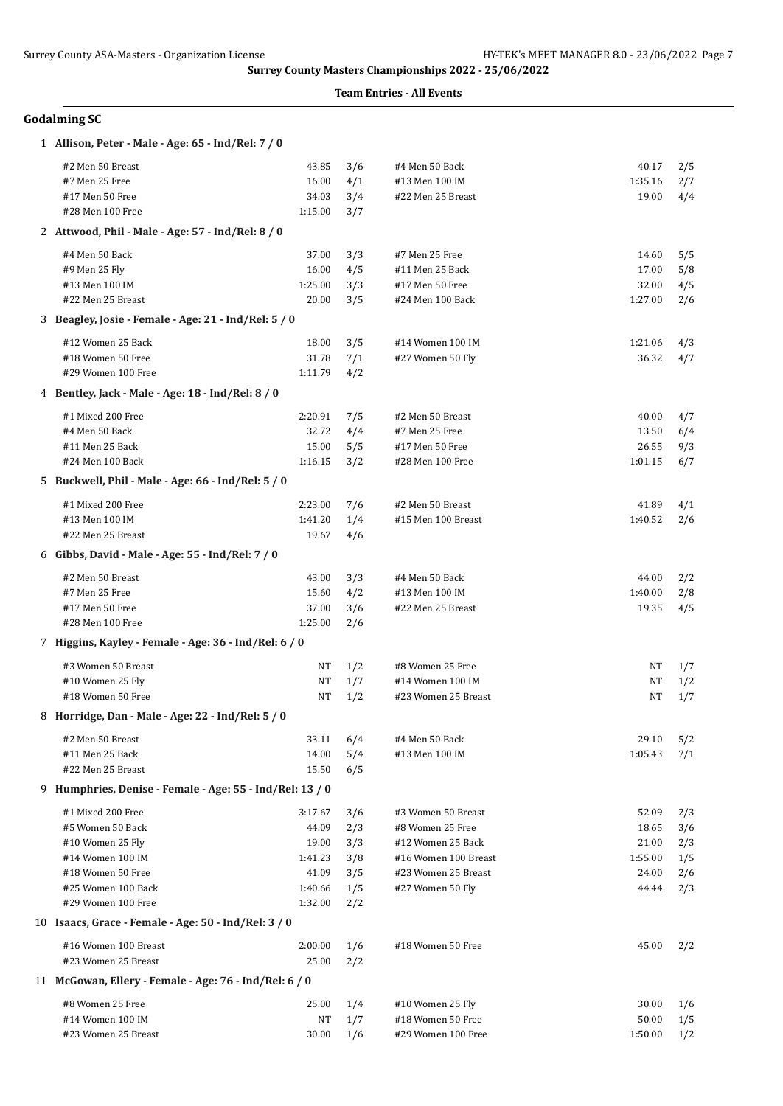| <b>Godalming SC</b> |  |
|---------------------|--|
|---------------------|--|

| 1 Allison, Peter - Male - Age: 65 - Ind/Rel: 7 / 0       |                  |            |                                         |                |            |
|----------------------------------------------------------|------------------|------------|-----------------------------------------|----------------|------------|
| #2 Men 50 Breast                                         | 43.85            | 3/6        | #4 Men 50 Back                          | 40.17          | 2/5        |
| #7 Men 25 Free                                           | 16.00            | 4/1        | #13 Men 100 IM                          | 1:35.16        | 2/7        |
| #17 Men 50 Free                                          | 34.03            | 3/4        | #22 Men 25 Breast                       | 19.00          | 4/4        |
| #28 Men 100 Free                                         | 1:15.00          | 3/7        |                                         |                |            |
| 2 Attwood, Phil - Male - Age: 57 - Ind/Rel: 8 / 0        |                  |            |                                         |                |            |
| #4 Men 50 Back                                           | 37.00            | 3/3        | #7 Men 25 Free                          | 14.60          | 5/5        |
| #9 Men 25 Fly                                            | 16.00            | 4/5        | #11 Men 25 Back                         | 17.00          | 5/8        |
| #13 Men 100 IM                                           | 1:25.00          | 3/3        | #17 Men 50 Free                         | 32.00          | 4/5        |
| #22 Men 25 Breast                                        | 20.00            | 3/5        | #24 Men 100 Back                        | 1:27.00        | 2/6        |
| 3 Beagley, Josie - Female - Age: 21 - Ind/Rel: 5 / 0     |                  |            |                                         |                |            |
| #12 Women 25 Back                                        | 18.00            | 3/5        | #14 Women 100 IM                        | 1:21.06        | 4/3        |
| #18 Women 50 Free                                        | 31.78            | 7/1        | #27 Women 50 Fly                        | 36.32          | 4/7        |
| #29 Women 100 Free                                       | 1:11.79          | 4/2        |                                         |                |            |
| 4 Bentley, Jack - Male - Age: 18 - Ind/Rel: 8 / 0        |                  |            |                                         |                |            |
| #1 Mixed 200 Free                                        | 2:20.91          | 7/5        | #2 Men 50 Breast                        | 40.00          | 4/7        |
| #4 Men 50 Back                                           | 32.72            | 4/4        | #7 Men 25 Free                          | 13.50          | 6/4        |
| #11 Men 25 Back                                          | 15.00            | 5/5        | #17 Men 50 Free                         | 26.55          | 9/3        |
| #24 Men 100 Back                                         | 1:16.15          | 3/2        | #28 Men 100 Free                        | 1:01.15        | 6/7        |
| 5 Buckwell, Phil - Male - Age: 66 - Ind/Rel: 5 / 0       |                  |            |                                         |                |            |
| #1 Mixed 200 Free                                        | 2:23.00          | 7/6        | #2 Men 50 Breast                        | 41.89          | 4/1        |
| #13 Men 100 IM                                           | 1:41.20          | 1/4        | #15 Men 100 Breast                      | 1:40.52        | 2/6        |
| #22 Men 25 Breast                                        | 19.67            | 4/6        |                                         |                |            |
| 6 Gibbs, David - Male - Age: 55 - Ind/Rel: 7 / 0         |                  |            |                                         |                |            |
| #2 Men 50 Breast                                         | 43.00            | 3/3        | #4 Men 50 Back                          | 44.00          | 2/2        |
| #7 Men 25 Free                                           | 15.60            | 4/2        | #13 Men 100 IM                          | 1:40.00        | 2/8        |
| #17 Men 50 Free                                          | 37.00            | 3/6        | #22 Men 25 Breast                       | 19.35          | 4/5        |
| #28 Men 100 Free                                         | 1:25.00          | 2/6        |                                         |                |            |
| 7 Higgins, Kayley - Female - Age: 36 - Ind/Rel: 6 / 0    |                  |            |                                         |                |            |
| #3 Women 50 Breast                                       | NT               | 1/2        | #8 Women 25 Free                        | NT             | 1/7        |
| #10 Women 25 Fly                                         | NT               | 1/7        | #14 Women 100 IM                        | NT             | 1/2        |
| #18 Women 50 Free                                        | NT               | 1/2        | #23 Women 25 Breast                     | NT             | 1/7        |
| 8 Horridge, Dan - Male - Age: 22 - Ind/Rel: 5 / 0        |                  |            |                                         |                |            |
| #2 Men 50 Breast                                         | 33.11            | 6/4        | #4 Men 50 Back                          | 29.10          | 5/2        |
| #11 Men 25 Back                                          | 14.00            | 5/4        | #13 Men 100 IM                          | 1:05.43        | 7/1        |
| #22 Men 25 Breast                                        | 15.50            | 6/5        |                                         |                |            |
| 9 Humphries, Denise - Female - Age: 55 - Ind/Rel: 13 / 0 |                  |            |                                         |                |            |
| #1 Mixed 200 Free                                        | 3:17.67          | 3/6        | #3 Women 50 Breast                      | 52.09          | 2/3        |
| #5 Women 50 Back                                         | 44.09            | 2/3        | #8 Women 25 Free                        | 18.65          | 3/6        |
| #10 Women 25 Fly                                         | 19.00            | 3/3        | #12 Women 25 Back                       | 21.00          | 2/3        |
| #14 Women 100 IM                                         | 1:41.23          | 3/8        | #16 Women 100 Breast                    | 1:55.00        | 1/5        |
| #18 Women 50 Free<br>#25 Women 100 Back                  | 41.09<br>1:40.66 | 3/5<br>1/5 | #23 Women 25 Breast<br>#27 Women 50 Fly | 24.00<br>44.44 | 2/6<br>2/3 |
| #29 Women 100 Free                                       | 1:32.00          | 2/2        |                                         |                |            |
| 10 Isaacs, Grace - Female - Age: 50 - Ind/Rel: 3 / 0     |                  |            |                                         |                |            |
|                                                          |                  |            |                                         |                |            |
| #16 Women 100 Breast<br>#23 Women 25 Breast              | 2:00.00          | 1/6        | #18 Women 50 Free                       | 45.00          | 2/2        |
|                                                          | 25.00            | 2/2        |                                         |                |            |
| 11 McGowan, Ellery - Female - Age: 76 - Ind/Rel: 6 / 0   |                  |            |                                         |                |            |
| #8 Women 25 Free                                         | 25.00            | 1/4        | #10 Women 25 Fly                        | 30.00          | 1/6        |
| #14 Women 100 IM                                         | NT               | 1/7        | #18 Women 50 Free                       | 50.00          | 1/5        |
| #23 Women 25 Breast                                      | 30.00            | 1/6        | #29 Women 100 Free                      | 1:50.00        | 1/2        |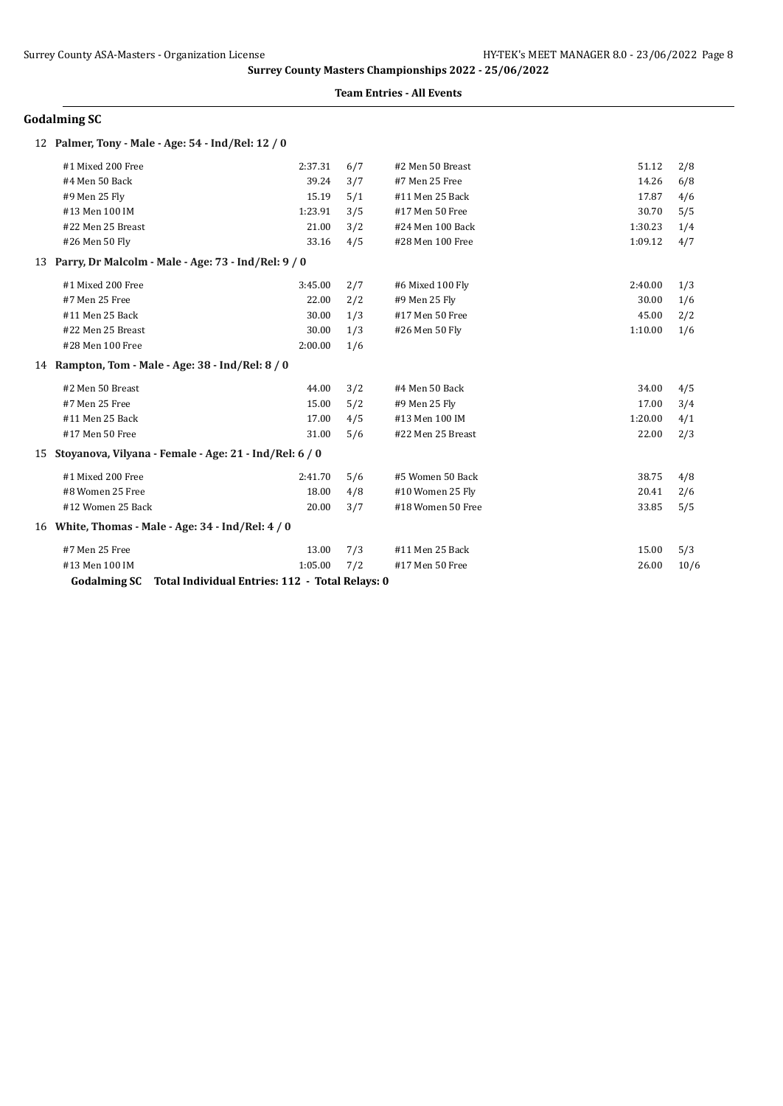### **Team Entries - All Events**

## **Godalming SC**

| 12 Palmer, Tony - Male - Age: 54 - Ind/Rel: 12 / 0        |                                                 |     |                   |         |      |
|-----------------------------------------------------------|-------------------------------------------------|-----|-------------------|---------|------|
| #1 Mixed 200 Free                                         | 2:37.31                                         | 6/7 | #2 Men 50 Breast  | 51.12   | 2/8  |
| #4 Men 50 Back                                            | 39.24                                           | 3/7 | #7 Men 25 Free    | 14.26   | 6/8  |
| #9 Men 25 Fly                                             | 15.19                                           | 5/1 | #11 Men 25 Back   | 17.87   | 4/6  |
| #13 Men 100 IM                                            | 1:23.91                                         | 3/5 | #17 Men 50 Free   | 30.70   | 5/5  |
| #22 Men 25 Breast                                         | 21.00                                           | 3/2 | #24 Men 100 Back  | 1:30.23 | 1/4  |
| #26 Men 50 Fly                                            | 33.16                                           | 4/5 | #28 Men 100 Free  | 1:09.12 | 4/7  |
| 13 Parry, Dr Malcolm - Male - Age: 73 - Ind/Rel: 9 / 0    |                                                 |     |                   |         |      |
| #1 Mixed 200 Free                                         | 3:45.00                                         | 2/7 | #6 Mixed 100 Fly  | 2:40.00 | 1/3  |
| #7 Men 25 Free                                            | 22.00                                           | 2/2 | #9 Men 25 Fly     | 30.00   | 1/6  |
| #11 Men 25 Back                                           | 30.00                                           | 1/3 | #17 Men 50 Free   | 45.00   | 2/2  |
| #22 Men 25 Breast                                         | 30.00                                           | 1/3 | #26 Men 50 Fly    | 1:10.00 | 1/6  |
| #28 Men 100 Free                                          | 2:00.00                                         | 1/6 |                   |         |      |
| 14 Rampton, Tom - Male - Age: 38 - Ind/Rel: 8 / 0         |                                                 |     |                   |         |      |
| #2 Men 50 Breast                                          | 44.00                                           | 3/2 | #4 Men 50 Back    | 34.00   | 4/5  |
| #7 Men 25 Free                                            | 15.00                                           | 5/2 | #9 Men 25 Fly     | 17.00   | 3/4  |
| #11 Men 25 Back                                           | 17.00                                           | 4/5 | #13 Men 100 IM    | 1:20.00 | 4/1  |
| #17 Men 50 Free                                           | 31.00                                           | 5/6 | #22 Men 25 Breast | 22.00   | 2/3  |
| 15 Stoyanova, Vilyana - Female - Age: 21 - Ind/Rel: 6 / 0 |                                                 |     |                   |         |      |
| #1 Mixed 200 Free                                         | 2:41.70                                         | 5/6 | #5 Women 50 Back  | 38.75   | 4/8  |
| #8 Women 25 Free                                          | 18.00                                           | 4/8 | #10 Women 25 Fly  | 20.41   | 2/6  |
| #12 Women 25 Back                                         | 20.00                                           | 3/7 | #18 Women 50 Free | 33.85   | 5/5  |
| 16 White, Thomas - Male - Age: 34 - Ind/Rel: 4 / 0        |                                                 |     |                   |         |      |
| #7 Men 25 Free                                            | 13.00                                           | 7/3 | #11 Men 25 Back   | 15.00   | 5/3  |
| #13 Men 100 IM                                            | 1:05.00                                         | 7/2 | #17 Men 50 Free   | 26.00   | 10/6 |
| <b>Godalming SC</b>                                       | Total Individual Entries: 112 - Total Relays: 0 |     |                   |         |      |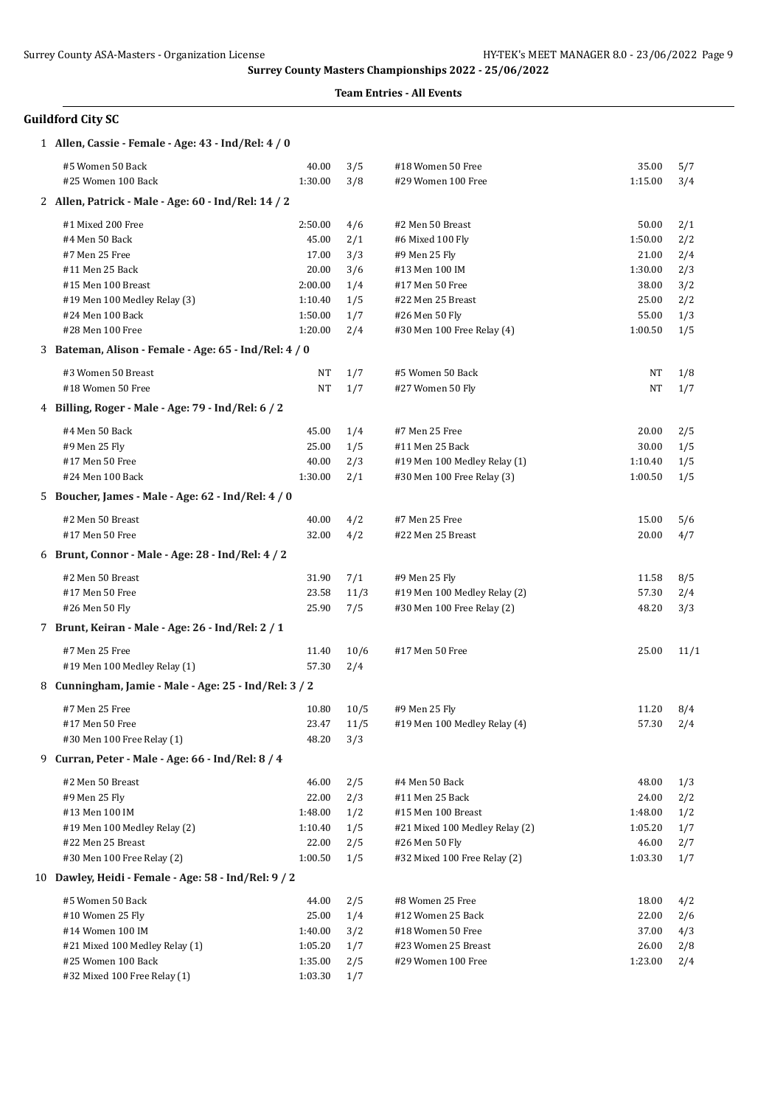### **Team Entries - All Events**

# **Guildford City SC**

| 1 Allen, Cassie - Female - Age: 43 - Ind/Rel: 4 / 0   |         |      |                                |         |      |
|-------------------------------------------------------|---------|------|--------------------------------|---------|------|
| #5 Women 50 Back                                      | 40.00   | 3/5  | #18 Women 50 Free              | 35.00   | 5/7  |
| #25 Women 100 Back                                    | 1:30.00 | 3/8  | #29 Women 100 Free             | 1:15.00 | 3/4  |
| 2 Allen, Patrick - Male - Age: 60 - Ind/Rel: 14 / 2   |         |      |                                |         |      |
| #1 Mixed 200 Free                                     | 2:50.00 | 4/6  | #2 Men 50 Breast               | 50.00   | 2/1  |
| #4 Men 50 Back                                        | 45.00   | 2/1  | #6 Mixed 100 Fly               | 1:50.00 | 2/2  |
| #7 Men 25 Free                                        | 17.00   | 3/3  | #9 Men 25 Fly                  | 21.00   | 2/4  |
| #11 Men 25 Back                                       | 20.00   | 3/6  | #13 Men 100 IM                 | 1:30.00 | 2/3  |
| #15 Men 100 Breast                                    | 2:00.00 | 1/4  | #17 Men 50 Free                | 38.00   | 3/2  |
| #19 Men 100 Medley Relay (3)                          | 1:10.40 | 1/5  | #22 Men 25 Breast              | 25.00   | 2/2  |
| #24 Men 100 Back                                      | 1:50.00 | 1/7  | #26 Men 50 Fly                 | 55.00   | 1/3  |
| #28 Men 100 Free                                      | 1:20.00 | 2/4  | #30 Men 100 Free Relay (4)     | 1:00.50 | 1/5  |
| 3 Bateman, Alison - Female - Age: 65 - Ind/Rel: 4 / 0 |         |      |                                |         |      |
| #3 Women 50 Breast                                    | NT      | 1/7  | #5 Women 50 Back               | NT      | 1/8  |
| #18 Women 50 Free                                     | NT      | 1/7  | #27 Women 50 Fly               | NT      | 1/7  |
| 4 Billing, Roger - Male - Age: 79 - Ind/Rel: 6 / 2    |         |      |                                |         |      |
| #4 Men 50 Back                                        | 45.00   | 1/4  | #7 Men 25 Free                 | 20.00   | 2/5  |
| #9 Men 25 Fly                                         | 25.00   | 1/5  | #11 Men 25 Back                | 30.00   | 1/5  |
| #17 Men 50 Free                                       | 40.00   | 2/3  | #19 Men 100 Medley Relay (1)   | 1:10.40 | 1/5  |
| #24 Men 100 Back                                      | 1:30.00 | 2/1  | #30 Men 100 Free Relay (3)     | 1:00.50 | 1/5  |
| 5 Boucher, James - Male - Age: 62 - Ind/Rel: 4 / 0    |         |      |                                |         |      |
| #2 Men 50 Breast                                      | 40.00   | 4/2  | #7 Men 25 Free                 | 15.00   | 5/6  |
| #17 Men 50 Free                                       | 32.00   | 4/2  | #22 Men 25 Breast              | 20.00   | 4/7  |
| 6 Brunt, Connor - Male - Age: 28 - Ind/Rel: 4 / 2     |         |      |                                |         |      |
| #2 Men 50 Breast                                      | 31.90   | 7/1  | #9 Men 25 Fly                  | 11.58   | 8/5  |
| #17 Men 50 Free                                       | 23.58   | 11/3 | #19 Men 100 Medley Relay (2)   | 57.30   | 2/4  |
| #26 Men 50 Fly                                        | 25.90   | 7/5  | #30 Men 100 Free Relay (2)     | 48.20   | 3/3  |
| 7 Brunt, Keiran - Male - Age: 26 - Ind/Rel: 2 / 1     |         |      |                                |         |      |
| #7 Men 25 Free                                        | 11.40   | 10/6 | #17 Men 50 Free                | 25.00   | 11/1 |
| #19 Men 100 Medley Relay (1)                          | 57.30   | 2/4  |                                |         |      |
| 8 Cunningham, Jamie - Male - Age: 25 - Ind/Rel: 3 / 2 |         |      |                                |         |      |
| #7 Men 25 Free                                        | 10.80   | 10/5 | #9 Men 25 Fly                  | 11.20   | 8/4  |
| #17 Men 50 Free                                       | 23.47   | 11/5 | #19 Men 100 Medley Relay (4)   | 57.30   | 2/4  |
| #30 Men 100 Free Relay (1)                            | 48.20   | 3/3  |                                |         |      |
| 9 Curran, Peter - Male - Age: 66 - Ind/Rel: 8 / 4     |         |      |                                |         |      |
| #2 Men 50 Breast                                      | 46.00   | 2/5  | #4 Men 50 Back                 | 48.00   | 1/3  |
| #9 Men 25 Fly                                         | 22.00   | 2/3  | #11 Men 25 Back                | 24.00   | 2/2  |
| #13 Men 100 IM                                        | 1:48.00 | 1/2  | #15 Men 100 Breast             | 1:48.00 | 1/2  |
| #19 Men 100 Medley Relay (2)                          | 1:10.40 | 1/5  | #21 Mixed 100 Medley Relay (2) | 1:05.20 | 1/7  |
| #22 Men 25 Breast                                     | 22.00   | 2/5  | #26 Men 50 Fly                 | 46.00   | 2/7  |
| #30 Men 100 Free Relay (2)                            | 1:00.50 | 1/5  | #32 Mixed 100 Free Relay (2)   | 1:03.30 | 1/7  |
| 10 Dawley, Heidi - Female - Age: 58 - Ind/Rel: 9 / 2  |         |      |                                |         |      |
| #5 Women 50 Back                                      | 44.00   | 2/5  | #8 Women 25 Free               | 18.00   | 4/2  |
| #10 Women 25 Fly                                      | 25.00   | 1/4  | #12 Women 25 Back              | 22.00   | 2/6  |
| #14 Women 100 IM                                      | 1:40.00 | 3/2  | #18 Women 50 Free              | 37.00   | 4/3  |
| #21 Mixed 100 Medley Relay (1)                        | 1:05.20 | 1/7  | #23 Women 25 Breast            | 26.00   | 2/8  |
| #25 Women 100 Back                                    | 1:35.00 | 2/5  | #29 Women 100 Free             | 1:23.00 | 2/4  |
| #32 Mixed 100 Free Relay (1)                          | 1:03.30 | 1/7  |                                |         |      |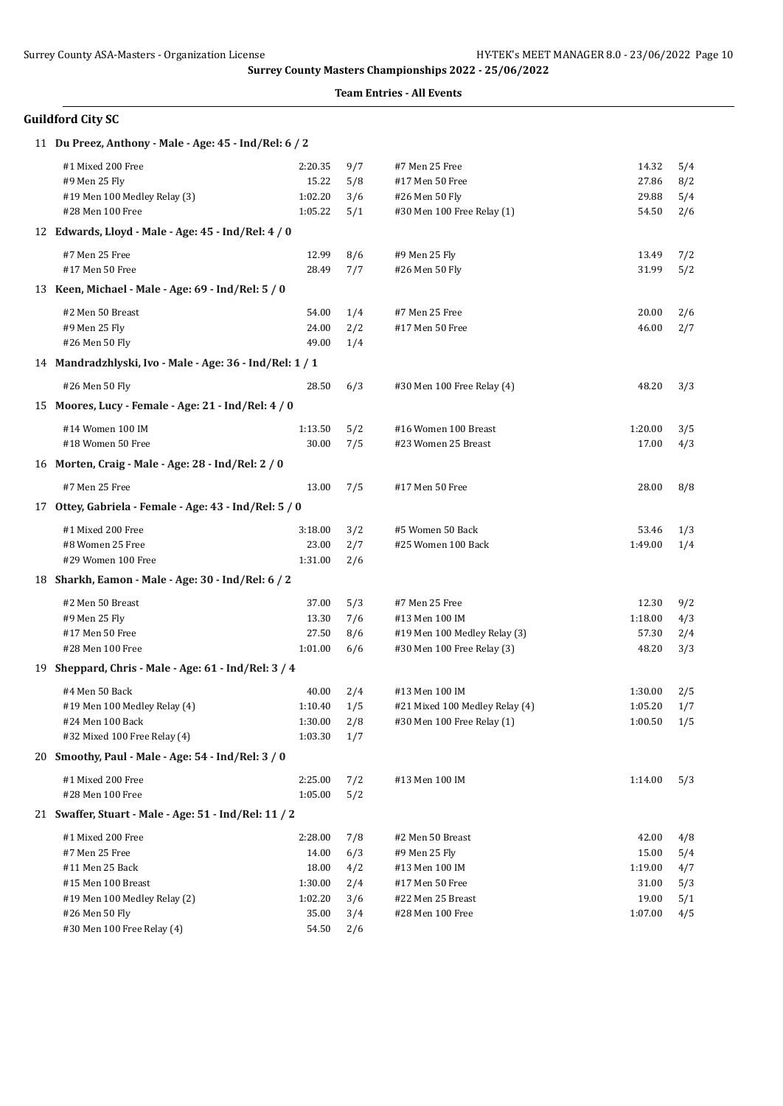| <b>Guildford City SC</b> |  |
|--------------------------|--|
|                          |  |

| 11 Du Preez, Anthony - Male - Age: 45 - Ind/Rel: 6 / 2   |         |     |                                |         |     |
|----------------------------------------------------------|---------|-----|--------------------------------|---------|-----|
| #1 Mixed 200 Free                                        | 2:20.35 | 9/7 | #7 Men 25 Free                 | 14.32   | 5/4 |
| #9 Men 25 Fly                                            | 15.22   | 5/8 | #17 Men 50 Free                | 27.86   | 8/2 |
| #19 Men 100 Medley Relay (3)                             | 1:02.20 | 3/6 | #26 Men 50 Fly                 | 29.88   | 5/4 |
| #28 Men 100 Free                                         | 1:05.22 | 5/1 | #30 Men 100 Free Relay (1)     | 54.50   | 2/6 |
| 12 Edwards, Lloyd - Male - Age: 45 - Ind/Rel: 4 / 0      |         |     |                                |         |     |
| #7 Men 25 Free                                           | 12.99   | 8/6 | #9 Men 25 Fly                  | 13.49   | 7/2 |
| #17 Men 50 Free                                          | 28.49   | 7/7 | #26 Men 50 Fly                 | 31.99   | 5/2 |
| 13 Keen, Michael - Male - Age: 69 - Ind/Rel: 5 / 0       |         |     |                                |         |     |
| #2 Men 50 Breast                                         | 54.00   | 1/4 | #7 Men 25 Free                 | 20.00   | 2/6 |
| #9 Men 25 Fly                                            | 24.00   | 2/2 | #17 Men 50 Free                | 46.00   | 2/7 |
| #26 Men 50 Fly                                           | 49.00   | 1/4 |                                |         |     |
| 14 Mandradzhlyski, Ivo - Male - Age: 36 - Ind/Rel: 1 / 1 |         |     |                                |         |     |
| #26 Men 50 Fly                                           | 28.50   | 6/3 | #30 Men 100 Free Relay (4)     | 48.20   | 3/3 |
| 15 Moores, Lucy - Female - Age: 21 - Ind/Rel: 4 / 0      |         |     |                                |         |     |
| #14 Women 100 IM                                         | 1:13.50 | 5/2 | #16 Women 100 Breast           | 1:20.00 | 3/5 |
| #18 Women 50 Free                                        | 30.00   | 7/5 | #23 Women 25 Breast            | 17.00   | 4/3 |
| 16 Morten, Craig - Male - Age: 28 - Ind/Rel: 2 / 0       |         |     |                                |         |     |
| #7 Men 25 Free                                           | 13.00   | 7/5 | #17 Men 50 Free                | 28.00   | 8/8 |
| 17 Ottey, Gabriela - Female - Age: 43 - Ind/Rel: 5 / 0   |         |     |                                |         |     |
| #1 Mixed 200 Free                                        | 3:18.00 | 3/2 | #5 Women 50 Back               | 53.46   | 1/3 |
| #8 Women 25 Free                                         | 23.00   | 2/7 | #25 Women 100 Back             | 1:49.00 | 1/4 |
| #29 Women 100 Free                                       | 1:31.00 | 2/6 |                                |         |     |
| 18 Sharkh, Eamon - Male - Age: 30 - Ind/Rel: 6 / 2       |         |     |                                |         |     |
| #2 Men 50 Breast                                         | 37.00   | 5/3 | #7 Men 25 Free                 | 12.30   | 9/2 |
| #9 Men 25 Fly                                            | 13.30   | 7/6 | #13 Men 100 IM                 | 1:18.00 | 4/3 |
| #17 Men 50 Free                                          | 27.50   | 8/6 | #19 Men 100 Medley Relay (3)   | 57.30   | 2/4 |
| #28 Men 100 Free                                         | 1:01.00 | 6/6 | #30 Men 100 Free Relay (3)     | 48.20   | 3/3 |
| 19 Sheppard, Chris - Male - Age: 61 - Ind/Rel: 3 / 4     |         |     |                                |         |     |
| #4 Men 50 Back                                           | 40.00   | 2/4 | #13 Men 100 IM                 | 1:30.00 | 2/5 |
| #19 Men 100 Medley Relay (4)                             | 1:10.40 | 1/5 | #21 Mixed 100 Medley Relay (4) | 1:05.20 | 1/7 |
| #24 Men 100 Back                                         | 1:30.00 | 2/8 | #30 Men 100 Free Relay (1)     | 1:00.50 | 1/5 |
| #32 Mixed 100 Free Relay (4)                             | 1:03.30 | 1/7 |                                |         |     |
| 20 Smoothy, Paul - Male - Age: 54 - Ind/Rel: 3 / 0       |         |     |                                |         |     |
| #1 Mixed 200 Free                                        | 2:25.00 | 7/2 | #13 Men 100 IM                 | 1:14.00 | 5/3 |
| #28 Men 100 Free                                         | 1:05.00 | 5/2 |                                |         |     |
| 21 Swaffer, Stuart - Male - Age: 51 - Ind/Rel: 11 / 2    |         |     |                                |         |     |
| #1 Mixed 200 Free                                        | 2:28.00 | 7/8 | #2 Men 50 Breast               | 42.00   | 4/8 |
| #7 Men 25 Free                                           | 14.00   | 6/3 | #9 Men 25 Fly                  | 15.00   | 5/4 |
| #11 Men 25 Back                                          | 18.00   | 4/2 | #13 Men 100 IM                 | 1:19.00 | 4/7 |
| #15 Men 100 Breast                                       | 1:30.00 | 2/4 | #17 Men 50 Free                | 31.00   | 5/3 |
| #19 Men 100 Medley Relay (2)                             | 1:02.20 | 3/6 | #22 Men 25 Breast              | 19.00   | 5/1 |
| #26 Men 50 Fly                                           | 35.00   | 3/4 | #28 Men 100 Free               | 1:07.00 | 4/5 |
| #30 Men 100 Free Relay (4)                               | 54.50   | 2/6 |                                |         |     |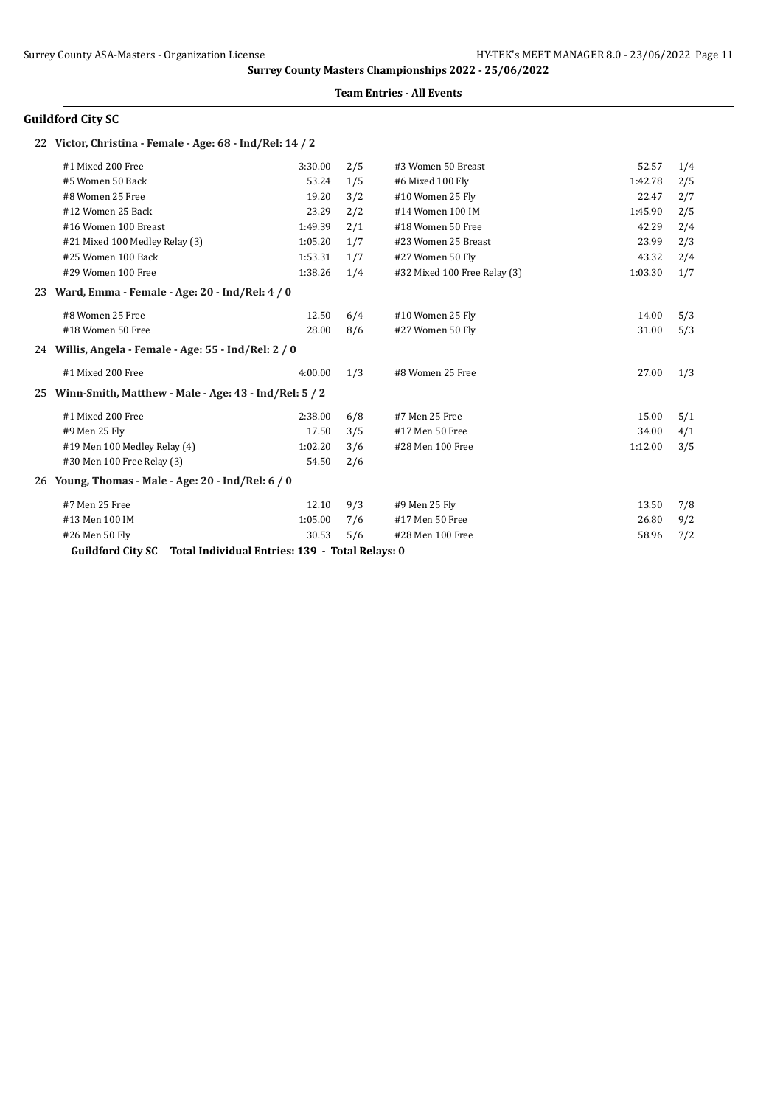### **Team Entries - All Events**

# **Guildford City SC**

### 22 **Victor, Christina - Female - Age: 68 - Ind/Rel: 14 / 2**

|    | #1 Mixed 200 Free                                                           | 3:30.00 | 2/5 | #3 Women 50 Breast           | 52.57   | 1/4 |
|----|-----------------------------------------------------------------------------|---------|-----|------------------------------|---------|-----|
|    | #5 Women 50 Back                                                            | 53.24   | 1/5 | #6 Mixed 100 Fly             | 1:42.78 | 2/5 |
|    | #8 Women 25 Free                                                            | 19.20   | 3/2 | #10 Women 25 Fly             | 22.47   | 2/7 |
|    | #12 Women 25 Back                                                           | 23.29   | 2/2 | #14 Women 100 IM             | 1:45.90 | 2/5 |
|    | #16 Women 100 Breast                                                        | 1:49.39 | 2/1 | #18 Women 50 Free            | 42.29   | 2/4 |
|    | #21 Mixed 100 Medley Relay (3)                                              | 1:05.20 | 1/7 | #23 Women 25 Breast          | 23.99   | 2/3 |
|    | #25 Women 100 Back                                                          | 1:53.31 | 1/7 | #27 Women 50 Fly             | 43.32   | 2/4 |
|    | #29 Women 100 Free                                                          | 1:38.26 | 1/4 | #32 Mixed 100 Free Relay (3) | 1:03.30 | 1/7 |
| 23 | Ward, Emma - Female - Age: 20 - Ind/Rel: 4 / 0                              |         |     |                              |         |     |
|    | #8 Women 25 Free                                                            | 12.50   | 6/4 | #10 Women 25 Fly             | 14.00   | 5/3 |
|    | #18 Women 50 Free                                                           | 28.00   | 8/6 | #27 Women 50 Fly             | 31.00   | 5/3 |
|    | 24 Willis, Angela - Female - Age: 55 - Ind/Rel: 2 / 0                       |         |     |                              |         |     |
|    | #1 Mixed 200 Free                                                           | 4:00.00 | 1/3 | #8 Women 25 Free             | 27.00   | 1/3 |
| 25 | Winn-Smith, Matthew - Male - Age: 43 - Ind/Rel: 5 / 2                       |         |     |                              |         |     |
|    | #1 Mixed 200 Free                                                           | 2:38.00 | 6/8 | #7 Men 25 Free               | 15.00   | 5/1 |
|    | #9 Men 25 Fly                                                               | 17.50   | 3/5 | #17 Men 50 Free              | 34.00   | 4/1 |
|    | #19 Men 100 Medley Relay (4)                                                | 1:02.20 | 3/6 | #28 Men 100 Free             | 1:12.00 | 3/5 |
|    | #30 Men 100 Free Relay (3)                                                  | 54.50   | 2/6 |                              |         |     |
|    | 26 Young, Thomas - Male - Age: 20 - Ind/Rel: 6 / 0                          |         |     |                              |         |     |
|    | #7 Men 25 Free                                                              | 12.10   | 9/3 | #9 Men 25 Fly                | 13.50   | 7/8 |
|    | #13 Men 100 IM                                                              | 1:05.00 | 7/6 | #17 Men 50 Free              | 26.80   | 9/2 |
|    | #26 Men 50 Fly                                                              | 30.53   | 5/6 | #28 Men 100 Free             | 58.96   | 7/2 |
|    | Total Individual Entries: 139 - Total Relays: 0<br><b>Guildford City SC</b> |         |     |                              |         |     |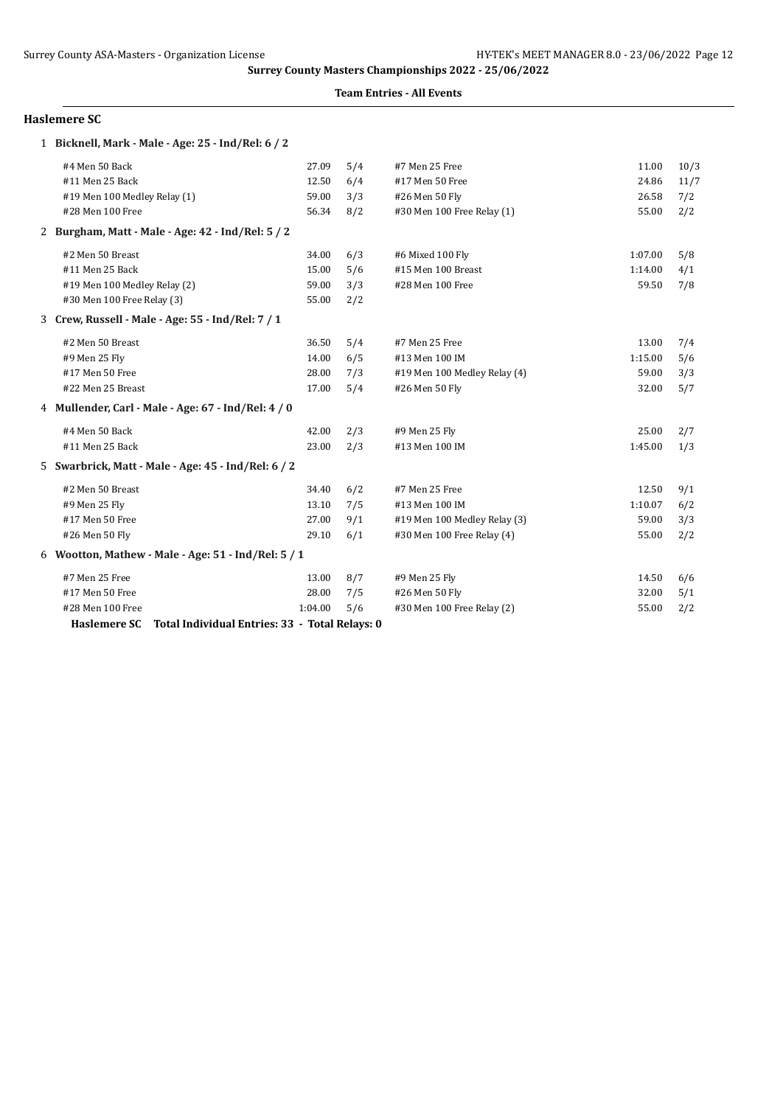### **Team Entries - All Events**

### **Haslemere SC**

| 1 Bicknell, Mark - Male - Age: 25 - Ind/Rel: 6 / 2             |         |     |                              |         |      |
|----------------------------------------------------------------|---------|-----|------------------------------|---------|------|
| #4 Men 50 Back                                                 | 27.09   | 5/4 | #7 Men 25 Free               | 11.00   | 10/3 |
| #11 Men 25 Back                                                | 12.50   | 6/4 | #17 Men 50 Free              | 24.86   | 11/7 |
| #19 Men 100 Medley Relay (1)                                   | 59.00   | 3/3 | #26 Men 50 Fly               | 26.58   | 7/2  |
| #28 Men 100 Free                                               | 56.34   | 8/2 | #30 Men 100 Free Relay (1)   | 55.00   | 2/2  |
| 2 Burgham, Matt - Male - Age: 42 - Ind/Rel: 5 / 2              |         |     |                              |         |      |
| #2 Men 50 Breast                                               | 34.00   | 6/3 | #6 Mixed 100 Fly             | 1:07.00 | 5/8  |
| #11 Men 25 Back                                                | 15.00   | 5/6 | #15 Men 100 Breast           | 1:14.00 | 4/1  |
| #19 Men 100 Medley Relay (2)                                   | 59.00   | 3/3 | #28 Men 100 Free             | 59.50   | 7/8  |
| #30 Men 100 Free Relay (3)                                     | 55.00   | 2/2 |                              |         |      |
| 3 Crew, Russell - Male - Age: 55 - Ind/Rel: 7 / 1              |         |     |                              |         |      |
| #2 Men 50 Breast                                               | 36.50   | 5/4 | #7 Men 25 Free               | 13.00   | 7/4  |
| #9 Men 25 Fly                                                  | 14.00   | 6/5 | #13 Men 100 IM               | 1:15.00 | 5/6  |
| #17 Men 50 Free                                                | 28.00   | 7/3 | #19 Men 100 Medley Relay (4) | 59.00   | 3/3  |
| #22 Men 25 Breast                                              | 17.00   | 5/4 | #26 Men 50 Fly               | 32.00   | 5/7  |
| 4 Mullender, Carl - Male - Age: 67 - Ind/Rel: 4 / 0            |         |     |                              |         |      |
| #4 Men 50 Back                                                 | 42.00   | 2/3 | #9 Men 25 Fly                | 25.00   | 2/7  |
| #11 Men 25 Back                                                | 23.00   | 2/3 | #13 Men 100 IM               | 1:45.00 | 1/3  |
| 5 Swarbrick, Matt - Male - Age: 45 - Ind/Rel: 6 / 2            |         |     |                              |         |      |
| #2 Men 50 Breast                                               | 34.40   | 6/2 | #7 Men 25 Free               | 12.50   | 9/1  |
| #9 Men 25 Fly                                                  | 13.10   | 7/5 | #13 Men 100 IM               | 1:10.07 | 6/2  |
| #17 Men 50 Free                                                | 27.00   | 9/1 | #19 Men 100 Medley Relay (3) | 59.00   | 3/3  |
| #26 Men 50 Fly                                                 | 29.10   | 6/1 | #30 Men 100 Free Relay (4)   | 55.00   | 2/2  |
| 6 Wootton, Mathew - Male - Age: 51 - Ind/Rel: 5 / 1            |         |     |                              |         |      |
| #7 Men 25 Free                                                 | 13.00   | 8/7 | #9 Men 25 Fly                | 14.50   | 6/6  |
| #17 Men 50 Free                                                | 28.00   | 7/5 | #26 Men 50 Fly               | 32.00   | 5/1  |
| #28 Men 100 Free                                               | 1:04.00 | 5/6 | #30 Men 100 Free Relay (2)   | 55.00   | 2/2  |
| Total Individual Entries: 33 - Total Relays: 0<br>Haslemere SC |         |     |                              |         |      |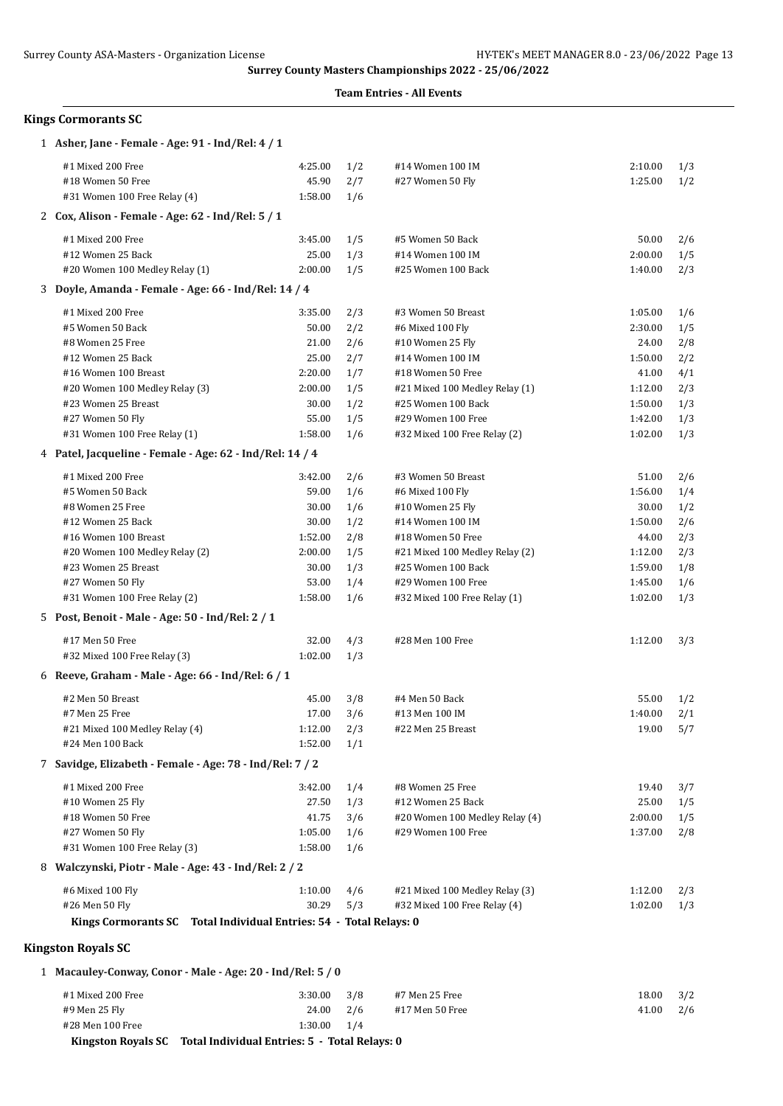|                                                                    |                 |     | Surrey County Masters Championships 2022 - 25/06/2022<br><b>Team Entries - All Events</b> |         |     |
|--------------------------------------------------------------------|-----------------|-----|-------------------------------------------------------------------------------------------|---------|-----|
| <b>Kings Cormorants SC</b>                                         |                 |     |                                                                                           |         |     |
| 1 Asher, Jane - Female - Age: 91 - Ind/Rel: 4 / 1                  |                 |     |                                                                                           |         |     |
| #1 Mixed 200 Free                                                  | 4:25.00         | 1/2 | #14 Women 100 IM                                                                          | 2:10.00 | 1/3 |
| #18 Women 50 Free                                                  | 45.90           | 2/7 | #27 Women 50 Fly                                                                          | 1:25.00 | 1/2 |
| #31 Women 100 Free Relay (4)                                       | 1:58.00         | 1/6 |                                                                                           |         |     |
| 2 Cox, Alison - Female - Age: 62 - Ind/Rel: 5 / 1                  |                 |     |                                                                                           |         |     |
| #1 Mixed 200 Free                                                  | 3:45.00         | 1/5 | #5 Women 50 Back                                                                          | 50.00   | 2/6 |
| #12 Women 25 Back                                                  | 25.00           | 1/3 | #14 Women 100 IM                                                                          | 2:00.00 | 1/5 |
| #20 Women 100 Medley Relay (1)                                     | 2:00.00         | 1/5 | #25 Women 100 Back                                                                        | 1:40.00 | 2/3 |
| 3 Doyle, Amanda - Female - Age: 66 - Ind/Rel: 14 / 4               |                 |     |                                                                                           |         |     |
| #1 Mixed 200 Free                                                  | 3:35.00         | 2/3 | #3 Women 50 Breast                                                                        | 1:05.00 | 1/6 |
| #5 Women 50 Back                                                   | 50.00           | 2/2 | #6 Mixed 100 Fly                                                                          | 2:30.00 | 1/5 |
| #8 Women 25 Free                                                   | 21.00           | 2/6 | #10 Women 25 Fly                                                                          | 24.00   | 2/8 |
| #12 Women 25 Back                                                  | 25.00           | 2/7 | #14 Women 100 IM                                                                          | 1:50.00 | 2/2 |
| #16 Women 100 Breast                                               | 2:20.00         | 1/7 | #18 Women 50 Free                                                                         | 41.00   | 4/1 |
| #20 Women 100 Medley Relay (3)                                     | 2:00.00         | 1/5 | #21 Mixed 100 Medley Relay (1)                                                            | 1:12.00 | 2/3 |
| #23 Women 25 Breast                                                | 30.00           | 1/2 | #25 Women 100 Back                                                                        | 1:50.00 | 1/3 |
| #27 Women 50 Fly                                                   | 55.00           | 1/5 | #29 Women 100 Free                                                                        | 1:42.00 | 1/3 |
| #31 Women 100 Free Relay (1)                                       | 1:58.00         | 1/6 | #32 Mixed 100 Free Relay (2)                                                              | 1:02.00 | 1/3 |
| 4 Patel, Jacqueline - Female - Age: 62 - Ind/Rel: 14 / 4           |                 |     |                                                                                           |         |     |
| #1 Mixed 200 Free                                                  | 3:42.00         | 2/6 | #3 Women 50 Breast                                                                        | 51.00   | 2/6 |
| #5 Women 50 Back                                                   | 59.00           | 1/6 | #6 Mixed 100 Fly                                                                          | 1:56.00 | 1/4 |
| #8 Women 25 Free                                                   | 30.00           | 1/6 | #10 Women 25 Fly                                                                          | 30.00   | 1/2 |
| #12 Women 25 Back                                                  | 30.00           | 1/2 | #14 Women 100 IM                                                                          | 1:50.00 | 2/6 |
| #16 Women 100 Breast                                               | 1:52.00         | 2/8 | #18 Women 50 Free                                                                         | 44.00   | 2/3 |
| #20 Women 100 Medley Relay (2)                                     | 2:00.00         | 1/5 | #21 Mixed 100 Medley Relay (2)                                                            | 1:12.00 | 2/3 |
| #23 Women 25 Breast                                                | 30.00           | 1/3 | #25 Women 100 Back                                                                        | 1:59.00 | 1/8 |
| #27 Women 50 Fly                                                   | 53.00           | 1/4 | #29 Women 100 Free                                                                        | 1:45.00 | 1/6 |
| #31 Women 100 Free Relay (2)                                       | 1:58.00         | 1/6 | #32 Mixed 100 Free Relay (1)                                                              | 1:02.00 | 1/3 |
| 5 Post, Benoit - Male - Age: 50 - Ind/Rel: 2 / 1                   |                 |     |                                                                                           |         |     |
| #17 Men 50 Free                                                    | 32.00           | 4/3 | #28 Men 100 Free                                                                          | 1:12.00 | 3/3 |
| #32 Mixed 100 Free Relay (3)                                       | $1:02.00$ $1/3$ |     |                                                                                           |         |     |
| 6 Reeve, Graham - Male - Age: 66 - Ind/Rel: 6 / 1                  |                 |     |                                                                                           |         |     |
| #2 Men 50 Breast                                                   | 45.00           | 3/8 | #4 Men 50 Back                                                                            | 55.00   | 1/2 |
| #7 Men 25 Free                                                     | 17.00           | 3/6 | #13 Men 100 IM                                                                            | 1:40.00 | 2/1 |
| #21 Mixed 100 Medley Relay (4)                                     | 1:12.00         | 2/3 | #22 Men 25 Breast                                                                         | 19.00   | 5/7 |
| #24 Men 100 Back                                                   | 1:52.00         | 1/1 |                                                                                           |         |     |
| 7 Savidge, Elizabeth - Female - Age: 78 - Ind/Rel: 7 / 2           |                 |     |                                                                                           |         |     |
| #1 Mixed 200 Free                                                  | 3:42.00         | 1/4 | #8 Women 25 Free                                                                          | 19.40   | 3/7 |
| #10 Women 25 Fly                                                   | 27.50           | 1/3 | #12 Women 25 Back                                                                         | 25.00   | 1/5 |
| #18 Women 50 Free                                                  | 41.75           | 3/6 | #20 Women 100 Medley Relay (4)                                                            | 2:00.00 | 1/5 |
| #27 Women 50 Fly                                                   | 1:05.00         | 1/6 | #29 Women 100 Free                                                                        | 1:37.00 | 2/8 |
| #31 Women 100 Free Relay (3)                                       | 1:58.00         | 1/6 |                                                                                           |         |     |
| 8 Walczynski, Piotr - Male - Age: 43 - Ind/Rel: 2 / 2              |                 |     |                                                                                           |         |     |
|                                                                    |                 |     |                                                                                           |         |     |
| #6 Mixed 100 Fly                                                   | 1:10.00         | 4/6 | #21 Mixed 100 Medley Relay (3)                                                            | 1:12.00 | 2/3 |
| #26 Men 50 Fly                                                     | 30.29           | 5/3 | #32 Mixed 100 Free Relay (4)                                                              | 1:02.00 | 1/3 |
| Kings Cormorants SC Total Individual Entries: 54 - Total Relays: 0 |                 |     |                                                                                           |         |     |
| <b>Kingston Royals SC</b>                                          |                 |     |                                                                                           |         |     |
| 1 Macauley-Conway, Conor - Male - Age: 20 - Ind/Rel: 5 / 0         |                 |     |                                                                                           |         |     |

| Kingston Royals SC Total Individual Entries: 5 - Total Relays: 0 |                 |  |                 |                   |  |
|------------------------------------------------------------------|-----------------|--|-----------------|-------------------|--|
| #28 Men 100 Free                                                 | $1:30.00$ $1/4$ |  |                 |                   |  |
| #9 Men 25 Fly                                                    | 24.00 2/6       |  | #17 Men 50 Free | $41.00$ $2/6$     |  |
| #1 Mixed 200 Free                                                | $3:30.00$ $3/8$ |  | #7 Men 25 Free  | $18.00 \quad 3/2$ |  |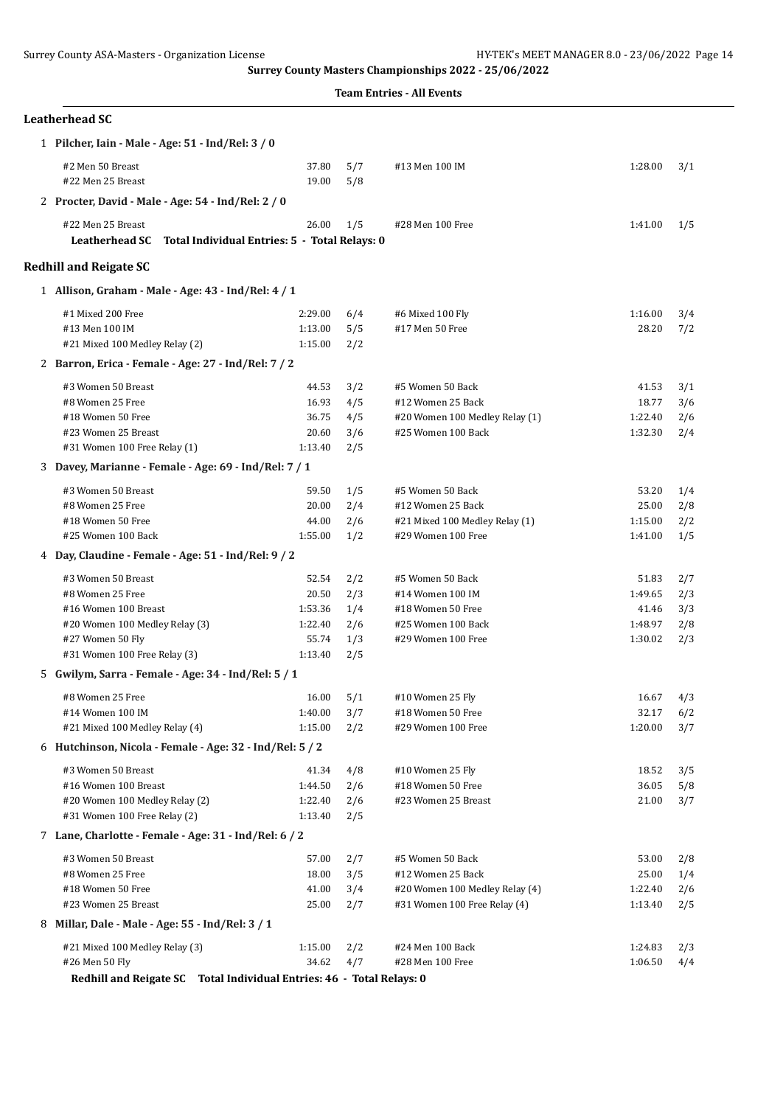| <b>Leatherhead SC</b>                                                                       |                |            |                                |         |     |
|---------------------------------------------------------------------------------------------|----------------|------------|--------------------------------|---------|-----|
| 1 Pilcher, Iain - Male - Age: 51 - Ind/Rel: 3 / 0                                           |                |            |                                |         |     |
| #2 Men 50 Breast<br>#22 Men 25 Breast                                                       | 37.80<br>19.00 | 5/7<br>5/8 | #13 Men 100 IM                 | 1:28.00 | 3/1 |
| 2 Procter, David - Male - Age: 54 - Ind/Rel: 2 / 0                                          |                |            |                                |         |     |
| #22 Men 25 Breast<br><b>Leatherhead SC</b><br>Total Individual Entries: 5 - Total Relays: 0 | 26.00          | 1/5        | #28 Men 100 Free               | 1:41.00 | 1/5 |
| <b>Redhill and Reigate SC</b>                                                               |                |            |                                |         |     |
| 1 Allison, Graham - Male - Age: 43 - Ind/Rel: 4 / 1                                         |                |            |                                |         |     |
| #1 Mixed 200 Free                                                                           | 2:29.00        | 6/4        | #6 Mixed 100 Fly               | 1:16.00 | 3/4 |
| #13 Men 100 IM                                                                              | 1:13.00        | 5/5        | #17 Men 50 Free                | 28.20   | 7/2 |
| #21 Mixed 100 Medley Relay (2)                                                              | 1:15.00        | 2/2        |                                |         |     |
| 2 Barron, Erica - Female - Age: 27 - Ind/Rel: 7 / 2                                         |                |            |                                |         |     |
| #3 Women 50 Breast                                                                          | 44.53          | 3/2        | #5 Women 50 Back               | 41.53   | 3/1 |
| #8 Women 25 Free                                                                            | 16.93          | 4/5        | #12 Women 25 Back              | 18.77   | 3/6 |
| #18 Women 50 Free                                                                           | 36.75          | 4/5        | #20 Women 100 Medley Relay (1) | 1:22.40 | 2/6 |
| #23 Women 25 Breast                                                                         | 20.60          | 3/6        | #25 Women 100 Back             | 1:32.30 | 2/4 |
| #31 Women 100 Free Relay (1)                                                                | 1:13.40        | 2/5        |                                |         |     |
| 3 Davey, Marianne - Female - Age: 69 - Ind/Rel: 7 / 1                                       |                |            |                                |         |     |
| #3 Women 50 Breast                                                                          | 59.50          | 1/5        | #5 Women 50 Back               | 53.20   | 1/4 |
| #8 Women 25 Free                                                                            | 20.00          | 2/4        | #12 Women 25 Back              | 25.00   | 2/8 |
| #18 Women 50 Free                                                                           | 44.00          | 2/6        | #21 Mixed 100 Medley Relay (1) | 1:15.00 | 2/2 |
| #25 Women 100 Back                                                                          | 1:55.00        | 1/2        | #29 Women 100 Free             | 1:41.00 | 1/5 |
| 4 Day, Claudine - Female - Age: 51 - Ind/Rel: 9 / 2                                         |                |            |                                |         |     |
| #3 Women 50 Breast                                                                          | 52.54          | 2/2        | #5 Women 50 Back               | 51.83   | 2/7 |
| #8 Women 25 Free                                                                            | 20.50          | 2/3        | #14 Women 100 IM               | 1:49.65 | 2/3 |
| #16 Women 100 Breast                                                                        | 1:53.36        | 1/4        | #18 Women 50 Free              | 41.46   | 3/3 |
| #20 Women 100 Medley Relay (3)                                                              | 1:22.40        | 2/6        | #25 Women 100 Back             | 1:48.97 | 2/8 |
| #27 Women 50 Fly                                                                            | 55.74          | 1/3        | #29 Women 100 Free             | 1:30.02 | 2/3 |
| #31 Women 100 Free Relay (3)                                                                | 1:13.40        | 2/5        |                                |         |     |
| 5 Gwilym, Sarra - Female - Age: 34 - Ind/Rel: 5 / 1                                         |                |            |                                |         |     |
| #8 Women 25 Free                                                                            | $16.00$ $5/1$  |            | #10 Women 25 Fly               | 16.67   | 4/3 |
| #14 Women 100 IM                                                                            | 1:40.00        | 3/7        | #18 Women 50 Free              | 32.17   | 6/2 |
| #21 Mixed 100 Medley Relay (4)                                                              | 1:15.00        | 2/2        | #29 Women 100 Free             | 1:20.00 | 3/7 |
| 6 Hutchinson, Nicola - Female - Age: 32 - Ind/Rel: 5 / 2                                    |                |            |                                |         |     |
| #3 Women 50 Breast                                                                          | 41.34          | 4/8        | #10 Women 25 Fly               | 18.52   | 3/5 |
| #16 Women 100 Breast                                                                        | 1:44.50        | 2/6        | #18 Women 50 Free              | 36.05   | 5/8 |
| #20 Women 100 Medley Relay (2)                                                              | 1:22.40        | 2/6        | #23 Women 25 Breast            | 21.00   | 3/7 |
| #31 Women 100 Free Relay (2)                                                                | 1:13.40        | 2/5        |                                |         |     |
| 7 Lane, Charlotte - Female - Age: 31 - Ind/Rel: 6 / 2                                       |                |            |                                |         |     |
| #3 Women 50 Breast                                                                          | 57.00          | 2/7        | #5 Women 50 Back               | 53.00   | 2/8 |
| #8 Women 25 Free                                                                            | 18.00          | 3/5        | #12 Women 25 Back              | 25.00   | 1/4 |
| #18 Women 50 Free                                                                           | 41.00          | 3/4        | #20 Women 100 Medley Relay (4) | 1:22.40 | 2/6 |
| #23 Women 25 Breast                                                                         | 25.00          | 2/7        | #31 Women 100 Free Relay (4)   | 1:13.40 | 2/5 |
| 8 Millar, Dale - Male - Age: 55 - Ind/Rel: 3 / 1                                            |                |            |                                |         |     |
| #21 Mixed 100 Medley Relay (3)                                                              | 1:15.00        | 2/2        | #24 Men 100 Back               | 1:24.83 | 2/3 |
| #26 Men 50 Fly                                                                              | 34.62          | 4/7        | #28 Men 100 Free               | 1:06.50 | 4/4 |
| Redhill and Reigate SC Total Individual Entries: 46 - Total Relays: 0                       |                |            |                                |         |     |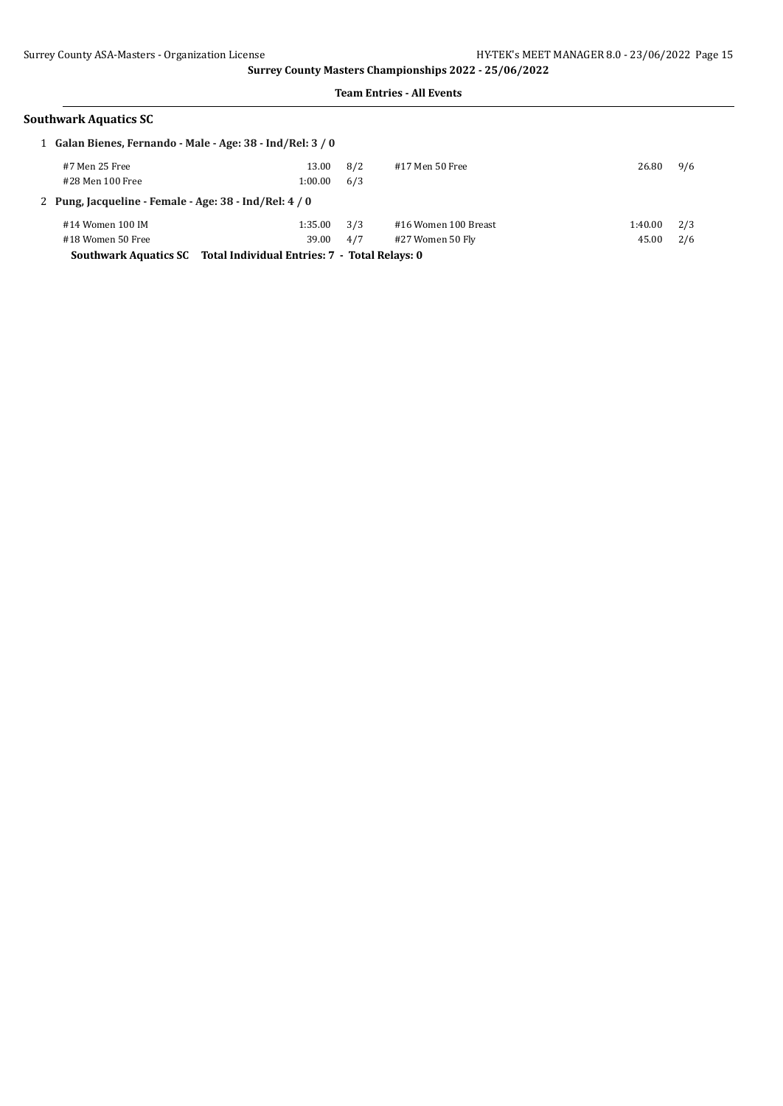| Southwark Aquatics SC |  |
|-----------------------|--|
|                       |  |

| 1 Galan Bienes, Fernando - Male - Age: 38 - Ind/Rel: 3 / 0          |         |     |                      |         |     |  |
|---------------------------------------------------------------------|---------|-----|----------------------|---------|-----|--|
| #7 Men 25 Free                                                      | 13.00   | 8/2 | #17 Men 50 Free      | 26.80   | 9/6 |  |
| #28 Men 100 Free                                                    | 1:00.00 | 6/3 |                      |         |     |  |
| 2 Pung, Jacqueline - Female - Age: 38 - Ind/Rel: 4 / 0              |         |     |                      |         |     |  |
| #14 Women 100 IM                                                    | 1:35.00 | 3/3 | #16 Women 100 Breast | 1:40.00 | 2/3 |  |
| #18 Women 50 Free                                                   | 39.00   | 4/7 | #27 Women 50 Fly     | 45.00   | 2/6 |  |
| Southwark Aquatics SC Total Individual Entries: 7 - Total Relays: 0 |         |     |                      |         |     |  |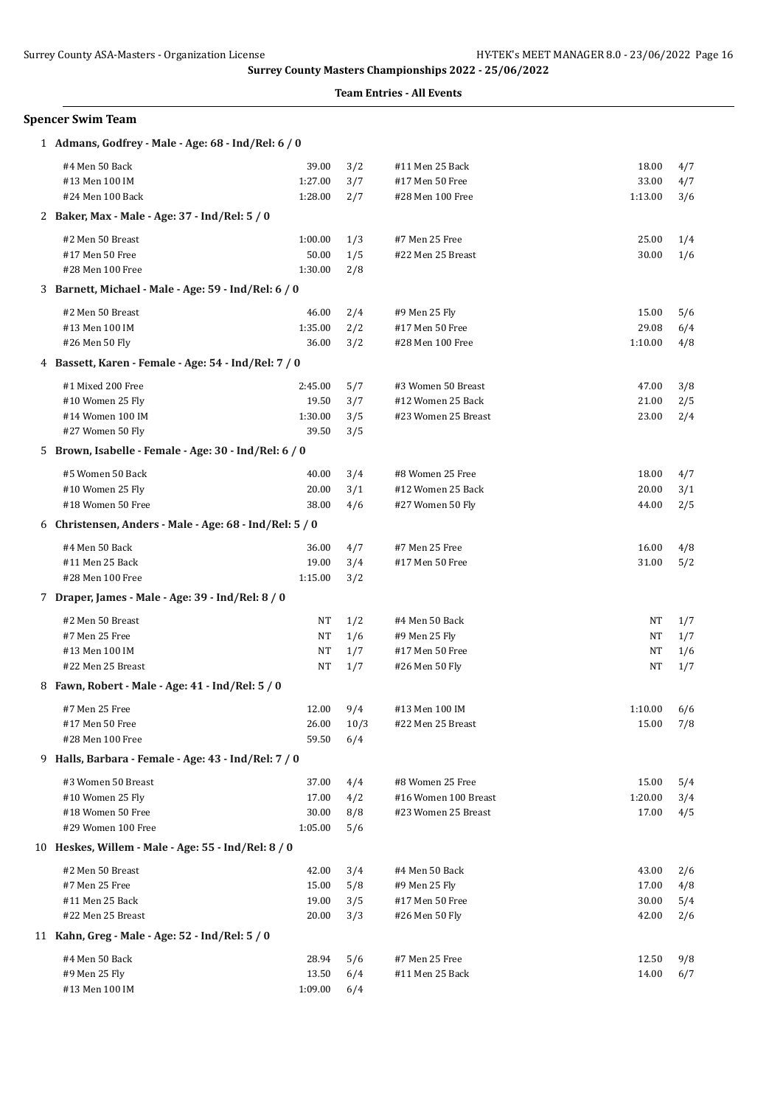| Spencer Swim Team                                       |                  |            |                      |         |     |
|---------------------------------------------------------|------------------|------------|----------------------|---------|-----|
| 1 Admans, Godfrey - Male - Age: 68 - Ind/Rel: 6 / 0     |                  |            |                      |         |     |
| #4 Men 50 Back                                          | 39.00            | 3/2        | #11 Men 25 Back      | 18.00   | 4/7 |
| #13 Men 100 IM                                          | 1:27.00          | 3/7        | #17 Men 50 Free      | 33.00   | 4/7 |
| #24 Men 100 Back                                        | 1:28.00          | 2/7        | #28 Men 100 Free     | 1:13.00 | 3/6 |
| 2 Baker, Max - Male - Age: 37 - Ind/Rel: 5 / 0          |                  |            |                      |         |     |
| #2 Men 50 Breast                                        | 1:00.00          | 1/3        | #7 Men 25 Free       | 25.00   | 1/4 |
| #17 Men 50 Free                                         | 50.00            | 1/5        | #22 Men 25 Breast    | 30.00   | 1/6 |
| #28 Men 100 Free                                        | 1:30.00          | 2/8        |                      |         |     |
| 3 Barnett, Michael - Male - Age: 59 - Ind/Rel: 6 / 0    |                  |            |                      |         |     |
| #2 Men 50 Breast                                        | 46.00            | 2/4        | #9 Men 25 Fly        | 15.00   | 5/6 |
| #13 Men 100 IM                                          | 1:35.00          | 2/2        | #17 Men 50 Free      | 29.08   | 6/4 |
| #26 Men 50 Fly                                          | 36.00            | 3/2        | #28 Men 100 Free     | 1:10.00 | 4/8 |
| 4 Bassett, Karen - Female - Age: 54 - Ind/Rel: 7 / 0    |                  |            |                      |         |     |
| #1 Mixed 200 Free                                       | 2:45.00          | 5/7        | #3 Women 50 Breast   | 47.00   | 3/8 |
| #10 Women 25 Fly                                        | 19.50            | 3/7        | #12 Women 25 Back    | 21.00   | 2/5 |
| #14 Women 100 IM                                        | 1:30.00          | 3/5        | #23 Women 25 Breast  | 23.00   | 2/4 |
| #27 Women 50 Fly                                        | 39.50            | 3/5        |                      |         |     |
| 5 Brown, Isabelle - Female - Age: 30 - Ind/Rel: 6 / 0   |                  |            |                      |         |     |
| #5 Women 50 Back                                        | 40.00            | 3/4        | #8 Women 25 Free     | 18.00   | 4/7 |
| #10 Women 25 Fly                                        | 20.00            | 3/1        | #12 Women 25 Back    | 20.00   | 3/1 |
| #18 Women 50 Free                                       | 38.00            | 4/6        | #27 Women 50 Fly     | 44.00   | 2/5 |
| 6 Christensen, Anders - Male - Age: 68 - Ind/Rel: 5 / 0 |                  |            |                      |         |     |
| #4 Men 50 Back                                          | 36.00            | 4/7        | #7 Men 25 Free       | 16.00   | 4/8 |
| #11 Men 25 Back                                         | 19.00            | 3/4        | #17 Men 50 Free      | 31.00   | 5/2 |
| #28 Men 100 Free                                        | 1:15.00          | 3/2        |                      |         |     |
| 7 Draper, James - Male - Age: 39 - Ind/Rel: 8 / 0       |                  |            |                      |         |     |
| #2 Men 50 Breast                                        | NT               | 1/2        | #4 Men 50 Back       | NT      | 1/7 |
| #7 Men 25 Free                                          | NT               | 1/6        | #9 Men 25 Fly        | NT      | 1/7 |
| #13 Men 100 IM                                          | NT               | 1/7        | #17 Men 50 Free      | NT      | 1/6 |
| #22 Men 25 Breast                                       | NT               | 1/7        | #26 Men 50 Fly       | NT      | 1/7 |
| 8 Fawn, Robert - Male - Age: 41 - Ind/Rel: 5 / 0        |                  |            |                      |         |     |
| #7 Men 25 Free                                          | 12.00            | 9/4        | #13 Men 100 IM       | 1:10.00 | 6/6 |
| #17 Men 50 Free                                         | 26.00            | 10/3       | #22 Men 25 Breast    | 15.00   | 7/8 |
| #28 Men 100 Free                                        | 59.50            | 6/4        |                      |         |     |
| 9 Halls, Barbara - Female - Age: 43 - Ind/Rel: 7 / 0    |                  |            |                      |         |     |
| #3 Women 50 Breast                                      | 37.00            | 4/4        | #8 Women 25 Free     | 15.00   | 5/4 |
| #10 Women 25 Fly                                        | 17.00            | 4/2        | #16 Women 100 Breast | 1:20.00 | 3/4 |
| #18 Women 50 Free<br>#29 Women 100 Free                 | 30.00<br>1:05.00 | 8/8<br>5/6 | #23 Women 25 Breast  | 17.00   | 4/5 |
| 10 Heskes, Willem - Male - Age: 55 - Ind/Rel: 8 / 0     |                  |            |                      |         |     |
| #2 Men 50 Breast                                        | 42.00            | 3/4        | #4 Men 50 Back       | 43.00   | 2/6 |
| #7 Men 25 Free                                          | 15.00            | 5/8        | #9 Men 25 Fly        | 17.00   | 4/8 |
| #11 Men 25 Back                                         | 19.00            | 3/5        | #17 Men 50 Free      | 30.00   | 5/4 |
| #22 Men 25 Breast                                       | 20.00            | 3/3        | #26 Men 50 Fly       | 42.00   | 2/6 |
| 11 Kahn, Greg - Male - Age: 52 - Ind/Rel: 5 / 0         |                  |            |                      |         |     |
| #4 Men 50 Back                                          | 28.94            | 5/6        | #7 Men 25 Free       | 12.50   | 9/8 |
| #9 Men 25 Fly                                           | 13.50            | 6/4        | #11 Men 25 Back      | 14.00   | 6/7 |
| #13 Men 100 IM                                          | 1:09.00          | 6/4        |                      |         |     |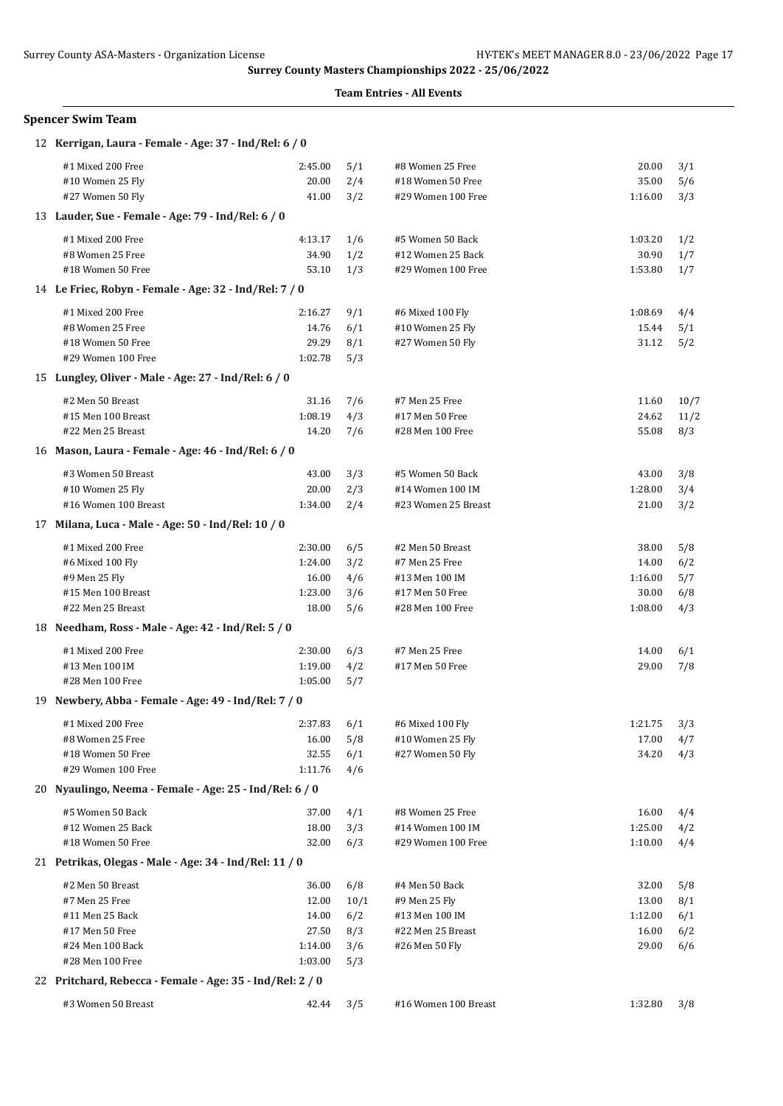| Spencer Swim Team |  |  |
|-------------------|--|--|
|-------------------|--|--|

| 12 Kerrigan, Laura - Female - Age: 37 - Ind/Rel: 6 / 0                        |         |      |                      |         |      |
|-------------------------------------------------------------------------------|---------|------|----------------------|---------|------|
| #1 Mixed 200 Free                                                             | 2:45.00 | 5/1  | #8 Women 25 Free     | 20.00   | 3/1  |
| #10 Women 25 Fly                                                              | 20.00   | 2/4  | #18 Women 50 Free    | 35.00   | 5/6  |
| #27 Women 50 Fly                                                              | 41.00   | 3/2  | #29 Women 100 Free   | 1:16.00 | 3/3  |
| 13 Lauder, Sue - Female - Age: 79 - Ind/Rel: 6 / 0                            |         |      |                      |         |      |
| #1 Mixed 200 Free                                                             | 4:13.17 | 1/6  | #5 Women 50 Back     | 1:03.20 | 1/2  |
| #8 Women 25 Free                                                              | 34.90   | 1/2  | #12 Women 25 Back    | 30.90   | 1/7  |
| #18 Women 50 Free                                                             | 53.10   | 1/3  | #29 Women 100 Free   | 1:53.80 | 1/7  |
| 14 Le Friec, Robyn - Female - Age: 32 - Ind/Rel: 7 / 0                        |         |      |                      |         |      |
| #1 Mixed 200 Free                                                             | 2:16.27 | 9/1  | #6 Mixed 100 Fly     | 1:08.69 | 4/4  |
| #8 Women 25 Free                                                              | 14.76   | 6/1  | #10 Women 25 Fly     | 15.44   | 5/1  |
| #18 Women 50 Free                                                             | 29.29   | 8/1  | #27 Women 50 Fly     | 31.12   | 5/2  |
| #29 Women 100 Free                                                            | 1:02.78 | 5/3  |                      |         |      |
| 15 Lungley, Oliver - Male - Age: 27 - Ind/Rel: 6 / 0                          |         |      |                      |         |      |
| #2 Men 50 Breast                                                              | 31.16   | 7/6  | #7 Men 25 Free       | 11.60   | 10/7 |
| #15 Men 100 Breast                                                            | 1:08.19 | 4/3  | #17 Men 50 Free      | 24.62   | 11/2 |
| #22 Men 25 Breast                                                             | 14.20   | 7/6  | #28 Men 100 Free     | 55.08   | 8/3  |
| 16 Mason, Laura - Female - Age: 46 - Ind/Rel: 6 / 0                           |         |      |                      |         |      |
| #3 Women 50 Breast                                                            | 43.00   | 3/3  | #5 Women 50 Back     | 43.00   | 3/8  |
| #10 Women 25 Fly                                                              | 20.00   | 2/3  | #14 Women 100 IM     | 1:28.00 | 3/4  |
| #16 Women 100 Breast                                                          | 1:34.00 | 2/4  | #23 Women 25 Breast  | 21.00   | 3/2  |
| 17 Milana, Luca - Male - Age: 50 - Ind/Rel: 10 / 0                            |         |      |                      |         |      |
| #1 Mixed 200 Free                                                             | 2:30.00 | 6/5  | #2 Men 50 Breast     | 38.00   | 5/8  |
| #6 Mixed 100 Fly                                                              | 1:24.00 | 3/2  | #7 Men 25 Free       | 14.00   | 6/2  |
| #9 Men 25 Fly                                                                 | 16.00   | 4/6  | #13 Men 100 IM       | 1:16.00 | 5/7  |
| #15 Men 100 Breast                                                            | 1:23.00 | 3/6  | #17 Men 50 Free      | 30.00   | 6/8  |
| #22 Men 25 Breast                                                             | 18.00   | 5/6  | #28 Men 100 Free     | 1:08.00 | 4/3  |
| 18 Needham, Ross - Male - Age: 42 - Ind/Rel: 5 / 0                            |         |      |                      |         |      |
|                                                                               |         |      |                      |         |      |
| #1 Mixed 200 Free                                                             | 2:30.00 | 6/3  | #7 Men 25 Free       | 14.00   | 6/1  |
| #13 Men 100 IM                                                                | 1:19.00 | 4/2  | #17 Men 50 Free      | 29.00   | 7/8  |
| #28 Men 100 Free<br>19 Newbery, Abba - Female - Age: 49 - Ind/Rel: 7 / 0      | 1:05.00 | 5/7  |                      |         |      |
|                                                                               |         |      |                      |         |      |
| #1 Mixed 200 Free                                                             | 2:37.83 | 6/1  | #6 Mixed 100 Fly     | 1:21.75 | 3/3  |
| #8 Women 25 Free                                                              | 16.00   | 5/8  | #10 Women 25 Fly     | 17.00   | 4/7  |
| #18 Women 50 Free                                                             | 32.55   | 6/1  | #27 Women 50 Fly     | 34.20   | 4/3  |
| #29 Women 100 Free<br>20 Nyaulingo, Neema - Female - Age: 25 - Ind/Rel: 6 / 0 | 1:11.76 | 4/6  |                      |         |      |
|                                                                               |         |      |                      |         |      |
| #5 Women 50 Back                                                              | 37.00   | 4/1  | #8 Women 25 Free     | 16.00   | 4/4  |
| #12 Women 25 Back                                                             | 18.00   | 3/3  | #14 Women 100 IM     | 1:25.00 | 4/2  |
| #18 Women 50 Free                                                             | 32.00   | 6/3  | #29 Women 100 Free   | 1:10.00 | 4/4  |
| 21 Petrikas, Olegas - Male - Age: 34 - Ind/Rel: 11 / 0                        |         |      |                      |         |      |
| #2 Men 50 Breast                                                              | 36.00   | 6/8  | #4 Men 50 Back       | 32.00   | 5/8  |
| #7 Men 25 Free                                                                | 12.00   | 10/1 | #9 Men 25 Fly        | 13.00   | 8/1  |
| #11 Men 25 Back                                                               | 14.00   | 6/2  | #13 Men 100 IM       | 1:12.00 | 6/1  |
| #17 Men 50 Free                                                               | 27.50   | 8/3  | #22 Men 25 Breast    | 16.00   | 6/2  |
| #24 Men 100 Back                                                              | 1:14.00 | 3/6  | #26 Men 50 Fly       | 29.00   | 6/6  |
| #28 Men 100 Free                                                              | 1:03.00 | 5/3  |                      |         |      |
| 22 Pritchard, Rebecca - Female - Age: 35 - Ind/Rel: 2 / 0                     |         |      |                      |         |      |
| #3 Women 50 Breast                                                            | 42.44   | 3/5  | #16 Women 100 Breast | 1:32.80 | 3/8  |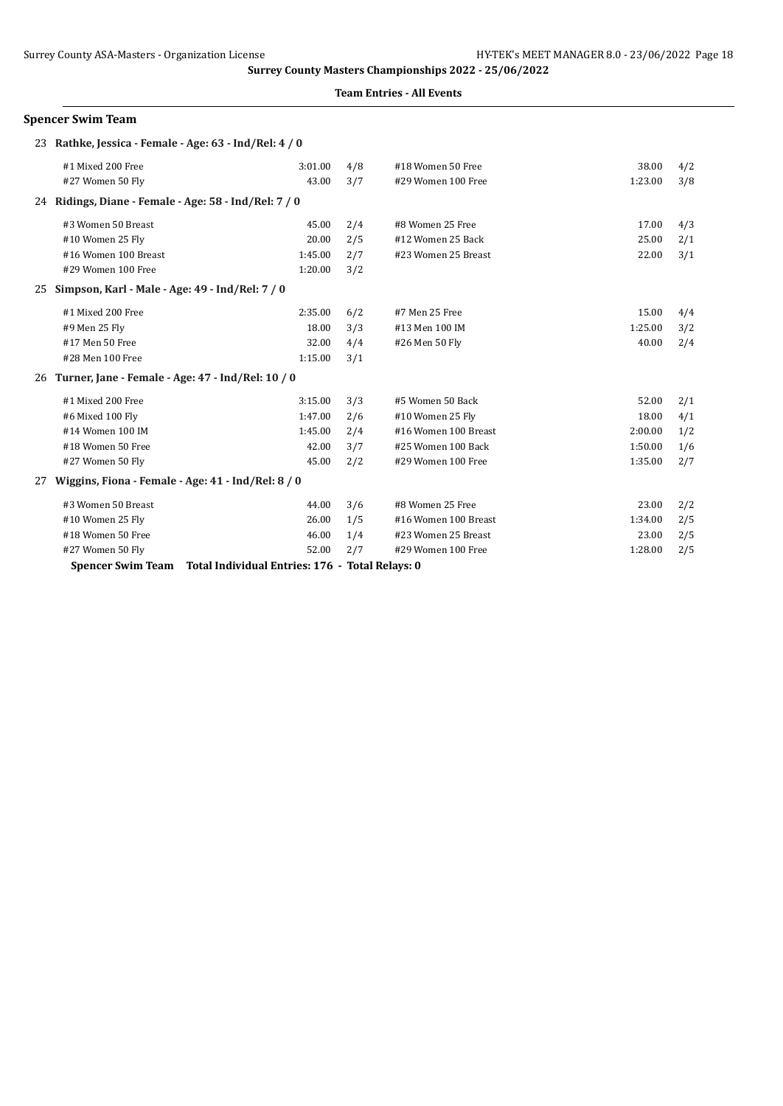### **Team Entries - All Events**

## **Spencer Swim Team**

|    | 23 Rathke, Jessica - Female - Age: 63 - Ind/Rel: 4 / 0 |                                                 |     |                      |         |     |
|----|--------------------------------------------------------|-------------------------------------------------|-----|----------------------|---------|-----|
|    | #1 Mixed 200 Free                                      | 3:01.00                                         | 4/8 | #18 Women 50 Free    | 38.00   | 4/2 |
|    | #27 Women 50 Fly                                       | 43.00                                           | 3/7 | #29 Women 100 Free   | 1:23.00 | 3/8 |
|    | 24 Ridings, Diane - Female - Age: 58 - Ind/Rel: 7 / 0  |                                                 |     |                      |         |     |
|    | #3 Women 50 Breast                                     | 45.00                                           | 2/4 | #8 Women 25 Free     | 17.00   | 4/3 |
|    | #10 Women 25 Fly                                       | 20.00                                           | 2/5 | #12 Women 25 Back    | 25.00   | 2/1 |
|    | #16 Women 100 Breast                                   | 1:45.00                                         | 2/7 | #23 Women 25 Breast  | 22.00   | 3/1 |
|    | #29 Women 100 Free                                     | 1:20.00                                         | 3/2 |                      |         |     |
| 25 | Simpson, Karl - Male - Age: 49 - Ind/Rel: 7 / 0        |                                                 |     |                      |         |     |
|    | #1 Mixed 200 Free                                      | 2:35.00                                         | 6/2 | #7 Men 25 Free       | 15.00   | 4/4 |
|    | #9 Men 25 Fly                                          | 18.00                                           | 3/3 | #13 Men 100 IM       | 1:25.00 | 3/2 |
|    | #17 Men 50 Free                                        | 32.00                                           | 4/4 | #26 Men 50 Fly       | 40.00   | 2/4 |
|    | #28 Men 100 Free                                       | 1:15.00                                         | 3/1 |                      |         |     |
|    | 26 Turner, Jane - Female - Age: 47 - Ind/Rel: 10 / 0   |                                                 |     |                      |         |     |
|    | #1 Mixed 200 Free                                      | 3:15.00                                         | 3/3 | #5 Women 50 Back     | 52.00   | 2/1 |
|    | #6 Mixed 100 Fly                                       | 1:47.00                                         | 2/6 | #10 Women 25 Fly     | 18.00   | 4/1 |
|    | #14 Women 100 IM                                       | 1:45.00                                         | 2/4 | #16 Women 100 Breast | 2:00.00 | 1/2 |
|    | #18 Women 50 Free                                      | 42.00                                           | 3/7 | #25 Women 100 Back   | 1:50.00 | 1/6 |
|    | #27 Women 50 Fly                                       | 45.00                                           | 2/2 | #29 Women 100 Free   | 1:35.00 | 2/7 |
| 27 | Wiggins, Fiona - Female - Age: 41 - Ind/Rel: 8 / 0     |                                                 |     |                      |         |     |
|    | #3 Women 50 Breast                                     | 44.00                                           | 3/6 | #8 Women 25 Free     | 23.00   | 2/2 |
|    | #10 Women 25 Fly                                       | 26.00                                           | 1/5 | #16 Women 100 Breast | 1:34.00 | 2/5 |
|    | #18 Women 50 Free                                      | 46.00                                           | 1/4 | #23 Women 25 Breast  | 23.00   | 2/5 |
|    | #27 Women 50 Fly                                       | 52.00                                           | 2/7 | #29 Women 100 Free   | 1:28.00 | 2/5 |
|    | <b>Spencer Swim Team</b>                               | Total Individual Entries: 176 - Total Relays: 0 |     |                      |         |     |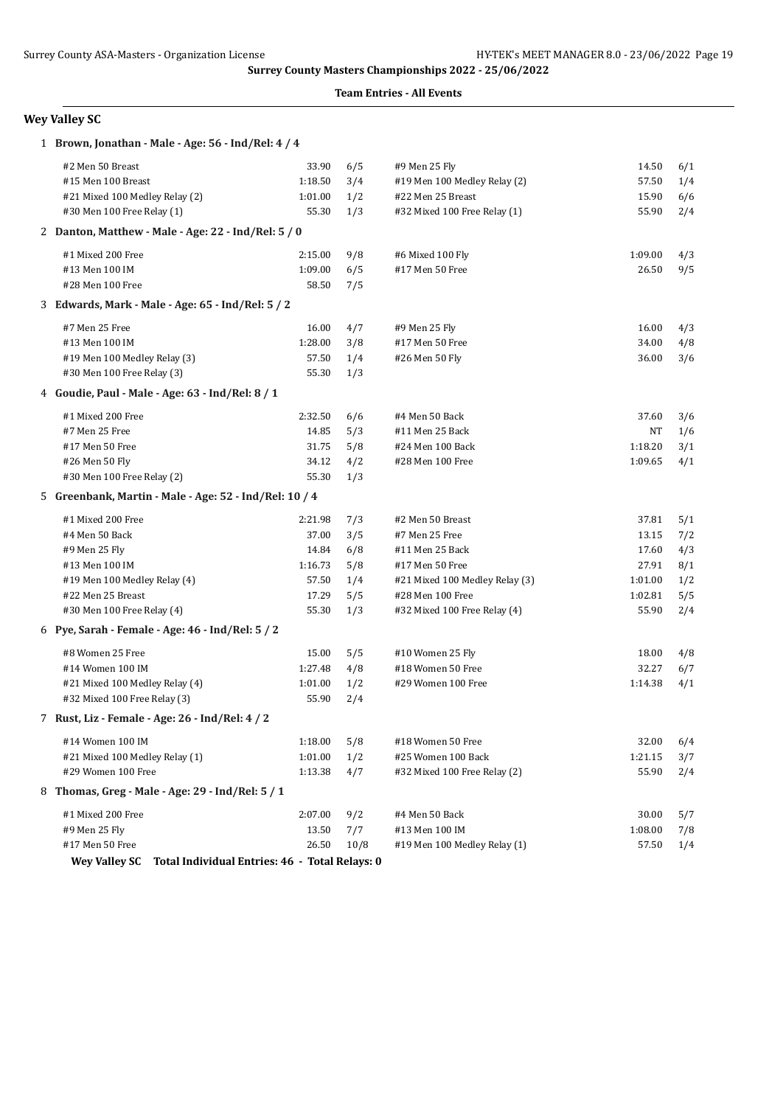### **Team Entries - All Events**

# **Wey Valley SC**

| 1 Brown, Jonathan - Male - Age: 56 - Ind/Rel: 4 / 4                    |         |      |                                |         |     |
|------------------------------------------------------------------------|---------|------|--------------------------------|---------|-----|
| #2 Men 50 Breast                                                       | 33.90   | 6/5  | #9 Men 25 Fly                  | 14.50   | 6/1 |
| #15 Men 100 Breast                                                     | 1:18.50 | 3/4  | #19 Men 100 Medley Relay (2)   | 57.50   | 1/4 |
| #21 Mixed 100 Medley Relay (2)                                         | 1:01.00 | 1/2  | #22 Men 25 Breast              | 15.90   | 6/6 |
| #30 Men 100 Free Relay (1)                                             | 55.30   | 1/3  | #32 Mixed 100 Free Relay (1)   | 55.90   | 2/4 |
| 2 Danton, Matthew - Male - Age: 22 - Ind/Rel: 5 / 0                    |         |      |                                |         |     |
| #1 Mixed 200 Free                                                      | 2:15.00 | 9/8  | #6 Mixed 100 Fly               | 1:09.00 | 4/3 |
| #13 Men 100 IM                                                         | 1:09.00 | 6/5  | #17 Men 50 Free                | 26.50   | 9/5 |
| #28 Men 100 Free                                                       | 58.50   | 7/5  |                                |         |     |
| 3 Edwards, Mark - Male - Age: 65 - Ind/Rel: 5 / 2                      |         |      |                                |         |     |
| #7 Men 25 Free                                                         | 16.00   | 4/7  | #9 Men 25 Fly                  | 16.00   | 4/3 |
| #13 Men 100 IM                                                         | 1:28.00 | 3/8  | #17 Men 50 Free                | 34.00   | 4/8 |
| #19 Men 100 Medley Relay (3)                                           | 57.50   | 1/4  | #26 Men 50 Fly                 | 36.00   | 3/6 |
| #30 Men 100 Free Relay (3)                                             | 55.30   | 1/3  |                                |         |     |
| 4 Goudie, Paul - Male - Age: 63 - Ind/Rel: 8 / 1                       |         |      |                                |         |     |
| #1 Mixed 200 Free                                                      | 2:32.50 | 6/6  | #4 Men 50 Back                 | 37.60   | 3/6 |
| #7 Men 25 Free                                                         | 14.85   | 5/3  | #11 Men 25 Back                | NΤ      | 1/6 |
| #17 Men 50 Free                                                        | 31.75   | 5/8  | #24 Men 100 Back               | 1:18.20 | 3/1 |
| #26 Men 50 Fly                                                         | 34.12   | 4/2  | #28 Men 100 Free               | 1:09.65 | 4/1 |
| #30 Men 100 Free Relay (2)                                             | 55.30   | 1/3  |                                |         |     |
| 5 Greenbank, Martin - Male - Age: 52 - Ind/Rel: 10 / 4                 |         |      |                                |         |     |
| #1 Mixed 200 Free                                                      | 2:21.98 | 7/3  | #2 Men 50 Breast               | 37.81   | 5/1 |
| #4 Men 50 Back                                                         | 37.00   | 3/5  | #7 Men 25 Free                 | 13.15   | 7/2 |
| #9 Men 25 Fly                                                          | 14.84   | 6/8  | #11 Men 25 Back                | 17.60   | 4/3 |
| #13 Men 100 IM                                                         | 1:16.73 | 5/8  | #17 Men 50 Free                | 27.91   | 8/1 |
| #19 Men 100 Medley Relay (4)                                           | 57.50   | 1/4  | #21 Mixed 100 Medley Relay (3) | 1:01.00 | 1/2 |
| #22 Men 25 Breast                                                      | 17.29   | 5/5  | #28 Men 100 Free               | 1:02.81 | 5/5 |
| #30 Men 100 Free Relay (4)                                             | 55.30   | 1/3  | #32 Mixed 100 Free Relay (4)   | 55.90   | 2/4 |
| 6 Pye, Sarah - Female - Age: 46 - Ind/Rel: 5 / 2                       |         |      |                                |         |     |
| #8 Women 25 Free                                                       | 15.00   | 5/5  | #10 Women 25 Fly               | 18.00   | 4/8 |
| #14 Women 100 IM                                                       | 1:27.48 | 4/8  | #18 Women 50 Free              | 32.27   | 6/7 |
| #21 Mixed 100 Medley Relay (4)                                         | 1:01.00 | 1/2  | #29 Women 100 Free             | 1:14.38 | 4/1 |
| #32 Mixed 100 Free Relay (3)                                           | 55.90   | 2/4  |                                |         |     |
| 7 Rust, Liz - Female - Age: 26 - Ind/Rel: 4 / 2                        |         |      |                                |         |     |
| #14 Women 100 IM                                                       | 1:18.00 | 5/8  | #18 Women 50 Free              | 32.00   | 6/4 |
| #21 Mixed 100 Medley Relay (1)                                         | 1:01.00 | 1/2  | #25 Women 100 Back             | 1:21.15 | 3/7 |
| #29 Women 100 Free                                                     | 1:13.38 | 4/7  | #32 Mixed 100 Free Relay (2)   | 55.90   | 2/4 |
| 8 Thomas, Greg - Male - Age: 29 - Ind/Rel: 5 / 1                       |         |      |                                |         |     |
| #1 Mixed 200 Free                                                      | 2:07.00 | 9/2  | #4 Men 50 Back                 | 30.00   | 5/7 |
| #9 Men 25 Fly                                                          | 13.50   | 7/7  | #13 Men 100 IM                 | 1:08.00 | 7/8 |
| #17 Men 50 Free                                                        | 26.50   | 10/8 | #19 Men 100 Medley Relay (1)   | 57.50   | 1/4 |
| Total Individual Entries: 46 - Total Relays: 0<br><b>Wey Valley SC</b> |         |      |                                |         |     |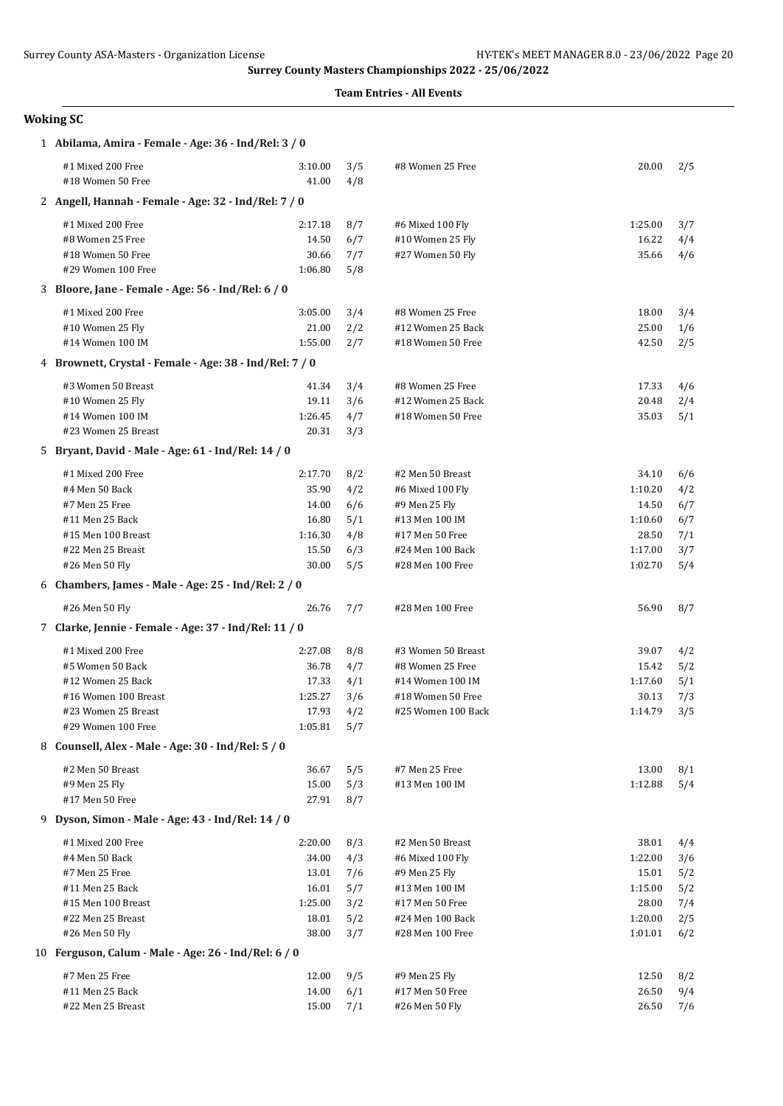### **Team Entries - All Events**

# **Woking SC**

| 1 Abilama, Amira - Female - Age: 36 - Ind/Rel: 3 / 0    |                  |            |                                         |                    |            |
|---------------------------------------------------------|------------------|------------|-----------------------------------------|--------------------|------------|
| #1 Mixed 200 Free<br>#18 Women 50 Free                  | 3:10.00<br>41.00 | 3/5<br>4/8 | #8 Women 25 Free                        | 20.00              | 2/5        |
| 2 Angell, Hannah - Female - Age: 32 - Ind/Rel: 7 / 0    |                  |            |                                         |                    |            |
| #1 Mixed 200 Free                                       | 2:17.18          | 8/7        | #6 Mixed 100 Fly                        | 1:25.00            | 3/7        |
| #8 Women 25 Free                                        | 14.50            | 6/7        | #10 Women 25 Fly                        | 16.22              | 4/4        |
| #18 Women 50 Free                                       | 30.66            | 7/7        | #27 Women 50 Fly                        | 35.66              | 4/6        |
| #29 Women 100 Free                                      | 1:06.80          | 5/8        |                                         |                    |            |
| 3 Bloore, Jane - Female - Age: 56 - Ind/Rel: 6 / 0      |                  |            |                                         |                    |            |
| #1 Mixed 200 Free                                       | 3:05.00          | 3/4        | #8 Women 25 Free                        | 18.00              | 3/4        |
| #10 Women 25 Fly                                        | 21.00            | 2/2        | #12 Women 25 Back                       | 25.00              | 1/6        |
| #14 Women 100 IM                                        | 1:55.00          | 2/7        | #18 Women 50 Free                       | 42.50              | 2/5        |
| 4 Brownett, Crystal - Female - Age: 38 - Ind/Rel: 7 / 0 |                  |            |                                         |                    |            |
| #3 Women 50 Breast                                      | 41.34            | 3/4        | #8 Women 25 Free                        | 17.33              | 4/6        |
| #10 Women 25 Fly                                        | 19.11            | 3/6        | #12 Women 25 Back                       | 20.48              | 2/4        |
| #14 Women 100 IM                                        | 1:26.45          | 4/7        | #18 Women 50 Free                       | 35.03              | 5/1        |
| #23 Women 25 Breast                                     | 20.31            | 3/3        |                                         |                    |            |
| 5 Bryant, David - Male - Age: 61 - Ind/Rel: 14 / 0      |                  |            |                                         |                    |            |
| #1 Mixed 200 Free                                       | 2:17.70          | 8/2        | #2 Men 50 Breast                        | 34.10              | 6/6        |
| #4 Men 50 Back                                          | 35.90            | 4/2        | #6 Mixed 100 Fly                        | 1:10.20            | 4/2        |
| #7 Men 25 Free                                          | 14.00            | 6/6        | #9 Men 25 Fly                           | 14.50              | 6/7        |
| #11 Men 25 Back                                         | 16.80            | 5/1        | #13 Men 100 IM                          | 1:10.60            | 6/7        |
| #15 Men 100 Breast                                      | 1:16.30          | 4/8        | #17 Men 50 Free                         | 28.50              | 7/1        |
| #22 Men 25 Breast<br>#26 Men 50 Fly                     | 15.50<br>30.00   | 6/3<br>5/5 | #24 Men 100 Back<br>#28 Men 100 Free    | 1:17.00<br>1:02.70 | 3/7<br>5/4 |
|                                                         |                  |            |                                         |                    |            |
|                                                         |                  |            |                                         |                    |            |
| 6 Chambers, James - Male - Age: 25 - Ind/Rel: 2 / 0     |                  |            |                                         |                    |            |
| #26 Men 50 Fly                                          | 26.76            | 7/7        | #28 Men 100 Free                        | 56.90              | 8/7        |
| 7 Clarke, Jennie - Female - Age: 37 - Ind/Rel: 11 / 0   |                  |            |                                         |                    |            |
| #1 Mixed 200 Free                                       | 2:27.08          | 8/8        | #3 Women 50 Breast                      | 39.07              | 4/2        |
| #5 Women 50 Back                                        | 36.78            | 4/7        | #8 Women 25 Free                        | 15.42              | 5/2        |
| #12 Women 25 Back<br>#16 Women 100 Breast               | 17.33            | 4/1        | #14 Women 100 IM                        | 1:17.60            | 5/1        |
| #23 Women 25 Breast                                     | 1:25.27<br>17.93 | 3/6<br>4/2 | #18 Women 50 Free<br>#25 Women 100 Back | 30.13<br>1:14.79   | 7/3<br>3/5 |
| #29 Women 100 Free                                      | 1:05.81          | 5/7        |                                         |                    |            |
| 8 Counsell, Alex - Male - Age: 30 - Ind/Rel: 5 / 0      |                  |            |                                         |                    |            |
| #2 Men 50 Breast                                        | 36.67            | 5/5        | #7 Men 25 Free                          | 13.00              | 8/1        |
| #9 Men 25 Fly                                           | 15.00            | 5/3        | #13 Men 100 IM                          | 1:12.88            | 5/4        |
| #17 Men 50 Free                                         | 27.91            | 8/7        |                                         |                    |            |
| 9 Dyson, Simon - Male - Age: 43 - Ind/Rel: 14 / 0       |                  |            |                                         |                    |            |
| #1 Mixed 200 Free                                       | 2:20.00          | 8/3        | #2 Men 50 Breast                        | 38.01              | 4/4        |
| #4 Men 50 Back                                          | 34.00            | 4/3        | #6 Mixed 100 Fly                        | 1:22.00            | 3/6        |
| #7 Men 25 Free                                          | 13.01            | 7/6        | #9 Men 25 Fly                           | 15.01              | 5/2        |
| #11 Men 25 Back                                         | 16.01            | 5/7        | #13 Men 100 IM                          | 1:15.00            | 5/2        |
| #15 Men 100 Breast                                      | 1:25.00          | 3/2        | #17 Men 50 Free                         | 28.00              | 7/4        |
| #22 Men 25 Breast                                       | 18.01            | 5/2        | #24 Men 100 Back                        | 1:20.00            | 2/5        |
| #26 Men 50 Fly                                          | 38.00            | 3/7        | #28 Men 100 Free                        | 1:01.01            | 6/2        |
| 10 Ferguson, Calum - Male - Age: 26 - Ind/Rel: 6 / 0    |                  |            |                                         |                    |            |
| #7 Men 25 Free                                          | 12.00            | 9/5        | #9 Men 25 Fly                           | 12.50              | 8/2        |
| #11 Men 25 Back<br>#22 Men 25 Breast                    | 14.00<br>15.00   | 6/1<br>7/1 | #17 Men 50 Free<br>#26 Men 50 Fly       | 26.50<br>26.50     | 9/4<br>7/6 |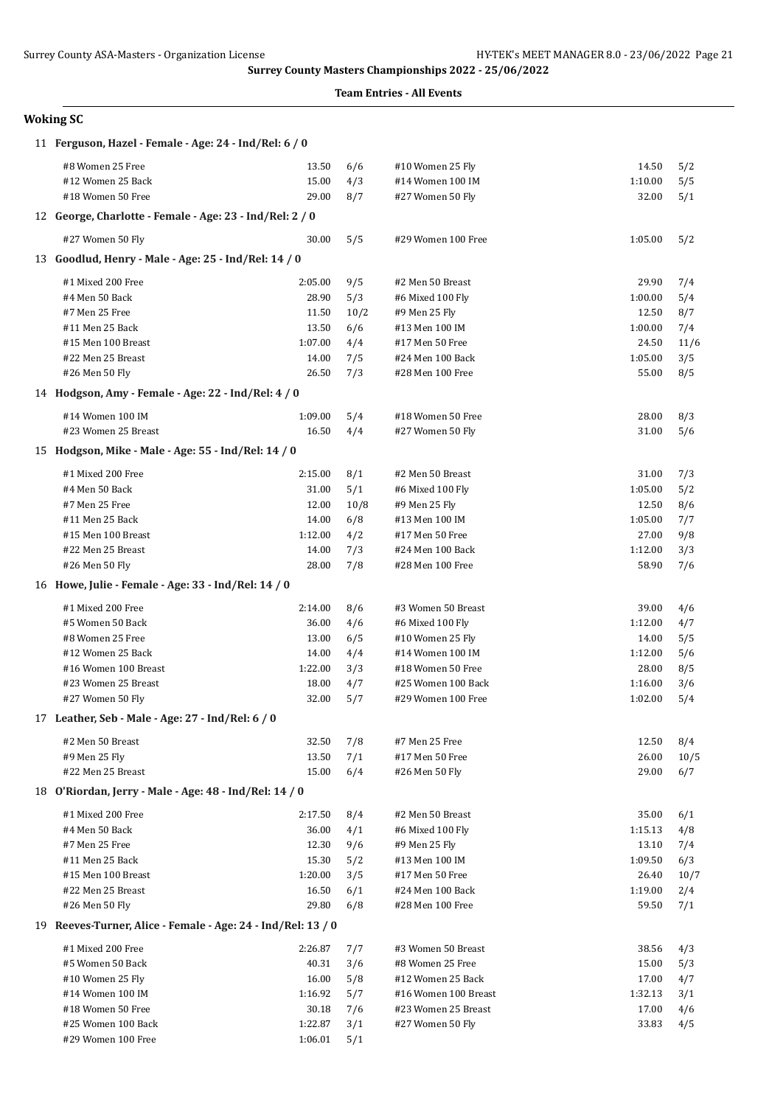### **Team Entries - All Events**

# **Woking SC**

| 11 Ferguson, Hazel - Female - Age: 24 - Ind/Rel: 6 / 0       |         |      |                      |         |      |  |  |  |
|--------------------------------------------------------------|---------|------|----------------------|---------|------|--|--|--|
| #8 Women 25 Free                                             | 13.50   | 6/6  | #10 Women 25 Fly     | 14.50   | 5/2  |  |  |  |
| #12 Women 25 Back                                            | 15.00   | 4/3  | #14 Women 100 IM     | 1:10.00 | 5/5  |  |  |  |
| #18 Women 50 Free                                            | 29.00   | 8/7  | #27 Women 50 Fly     | 32.00   | 5/1  |  |  |  |
| 12 George, Charlotte - Female - Age: 23 - Ind/Rel: 2 / 0     |         |      |                      |         |      |  |  |  |
| #27 Women 50 Fly                                             | 30.00   | 5/5  | #29 Women 100 Free   | 1:05.00 | 5/2  |  |  |  |
| 13 Goodlud, Henry - Male - Age: 25 - Ind/Rel: 14 / 0         |         |      |                      |         |      |  |  |  |
| #1 Mixed 200 Free                                            | 2:05.00 | 9/5  | #2 Men 50 Breast     | 29.90   | 7/4  |  |  |  |
| #4 Men 50 Back                                               | 28.90   | 5/3  | #6 Mixed 100 Fly     | 1:00.00 | 5/4  |  |  |  |
| #7 Men 25 Free                                               | 11.50   | 10/2 | #9 Men 25 Fly        | 12.50   | 8/7  |  |  |  |
| #11 Men 25 Back                                              | 13.50   | 6/6  | #13 Men 100 IM       | 1:00.00 | 7/4  |  |  |  |
| #15 Men 100 Breast                                           | 1:07.00 | 4/4  | #17 Men 50 Free      | 24.50   | 11/6 |  |  |  |
| #22 Men 25 Breast                                            | 14.00   | 7/5  | #24 Men 100 Back     | 1:05.00 | 3/5  |  |  |  |
| #26 Men 50 Fly                                               | 26.50   | 7/3  | #28 Men 100 Free     | 55.00   | 8/5  |  |  |  |
| 14 Hodgson, Amy - Female - Age: 22 - Ind/Rel: 4 / 0          |         |      |                      |         |      |  |  |  |
| #14 Women 100 IM                                             | 1:09.00 | 5/4  | #18 Women 50 Free    | 28.00   | 8/3  |  |  |  |
| #23 Women 25 Breast                                          | 16.50   | 4/4  | #27 Women 50 Fly     | 31.00   | 5/6  |  |  |  |
| 15 Hodgson, Mike - Male - Age: 55 - Ind/Rel: 14 / 0          |         |      |                      |         |      |  |  |  |
| #1 Mixed 200 Free                                            | 2:15.00 | 8/1  | #2 Men 50 Breast     | 31.00   | 7/3  |  |  |  |
| #4 Men 50 Back                                               | 31.00   | 5/1  | #6 Mixed 100 Fly     | 1:05.00 | 5/2  |  |  |  |
| #7 Men 25 Free                                               | 12.00   | 10/8 | #9 Men 25 Fly        | 12.50   | 8/6  |  |  |  |
| #11 Men 25 Back                                              | 14.00   | 6/8  | #13 Men 100 IM       | 1:05.00 | 7/7  |  |  |  |
| #15 Men 100 Breast                                           | 1:12.00 | 4/2  | #17 Men 50 Free      | 27.00   | 9/8  |  |  |  |
| #22 Men 25 Breast                                            | 14.00   | 7/3  | #24 Men 100 Back     | 1:12.00 | 3/3  |  |  |  |
| #26 Men 50 Fly                                               | 28.00   | 7/8  | #28 Men 100 Free     | 58.90   | 7/6  |  |  |  |
| 16 Howe, Julie - Female - Age: 33 - Ind/Rel: 14 / 0          |         |      |                      |         |      |  |  |  |
| #1 Mixed 200 Free                                            | 2:14.00 | 8/6  | #3 Women 50 Breast   | 39.00   | 4/6  |  |  |  |
| #5 Women 50 Back                                             | 36.00   | 4/6  | #6 Mixed 100 Fly     | 1:12.00 | 4/7  |  |  |  |
| #8 Women 25 Free                                             | 13.00   | 6/5  | #10 Women 25 Fly     | 14.00   | 5/5  |  |  |  |
| #12 Women 25 Back                                            | 14.00   | 4/4  | #14 Women 100 IM     | 1:12.00 | 5/6  |  |  |  |
| #16 Women 100 Breast                                         | 1:22.00 | 3/3  | #18 Women 50 Free    | 28.00   | 8/5  |  |  |  |
| #23 Women 25 Breast                                          | 18.00   | 4/7  | #25 Women 100 Back   | 1:16.00 | 3/6  |  |  |  |
| #27 Women 50 Fly                                             | 32.00   | 5/7  | #29 Women 100 Free   | 1:02.00 | 5/4  |  |  |  |
| 17 Leather, Seb - Male - Age: 27 - Ind/Rel: 6 / 0            |         |      |                      |         |      |  |  |  |
| #2 Men 50 Breast                                             | 32.50   | 7/8  | #7 Men 25 Free       | 12.50   | 8/4  |  |  |  |
| #9 Men 25 Fly                                                | 13.50   | 7/1  | #17 Men 50 Free      | 26.00   | 10/5 |  |  |  |
| #22 Men 25 Breast                                            | 15.00   | 6/4  | #26 Men 50 Fly       | 29.00   | 6/7  |  |  |  |
| 18 O'Riordan, Jerry - Male - Age: 48 - Ind/Rel: 14 / 0       |         |      |                      |         |      |  |  |  |
| #1 Mixed 200 Free                                            | 2:17.50 | 8/4  | #2 Men 50 Breast     | 35.00   | 6/1  |  |  |  |
| #4 Men 50 Back                                               | 36.00   | 4/1  | #6 Mixed 100 Fly     | 1:15.13 | 4/8  |  |  |  |
| #7 Men 25 Free                                               | 12.30   | 9/6  | #9 Men 25 Fly        | 13.10   | 7/4  |  |  |  |
| #11 Men 25 Back                                              | 15.30   | 5/2  | #13 Men 100 IM       | 1:09.50 | 6/3  |  |  |  |
| #15 Men 100 Breast                                           | 1:20.00 | 3/5  | #17 Men 50 Free      | 26.40   | 10/7 |  |  |  |
| #22 Men 25 Breast                                            | 16.50   | 6/1  | #24 Men 100 Back     | 1:19.00 | 2/4  |  |  |  |
| #26 Men 50 Fly                                               | 29.80   | 6/8  | #28 Men 100 Free     | 59.50   | 7/1  |  |  |  |
| 19 Reeves-Turner, Alice - Female - Age: 24 - Ind/Rel: 13 / 0 |         |      |                      |         |      |  |  |  |
| #1 Mixed 200 Free                                            | 2:26.87 | 7/7  | #3 Women 50 Breast   | 38.56   | 4/3  |  |  |  |
| #5 Women 50 Back                                             | 40.31   | 3/6  | #8 Women 25 Free     | 15.00   | 5/3  |  |  |  |
| #10 Women 25 Fly                                             | 16.00   | 5/8  | #12 Women 25 Back    | 17.00   | 4/7  |  |  |  |
| #14 Women 100 IM                                             | 1:16.92 | 5/7  | #16 Women 100 Breast | 1:32.13 | 3/1  |  |  |  |
| #18 Women 50 Free                                            | 30.18   | 7/6  | #23 Women 25 Breast  | 17.00   | 4/6  |  |  |  |
| #25 Women 100 Back                                           | 1:22.87 | 3/1  | #27 Women 50 Fly     | 33.83   | 4/5  |  |  |  |
| #29 Women 100 Free                                           | 1:06.01 | 5/1  |                      |         |      |  |  |  |